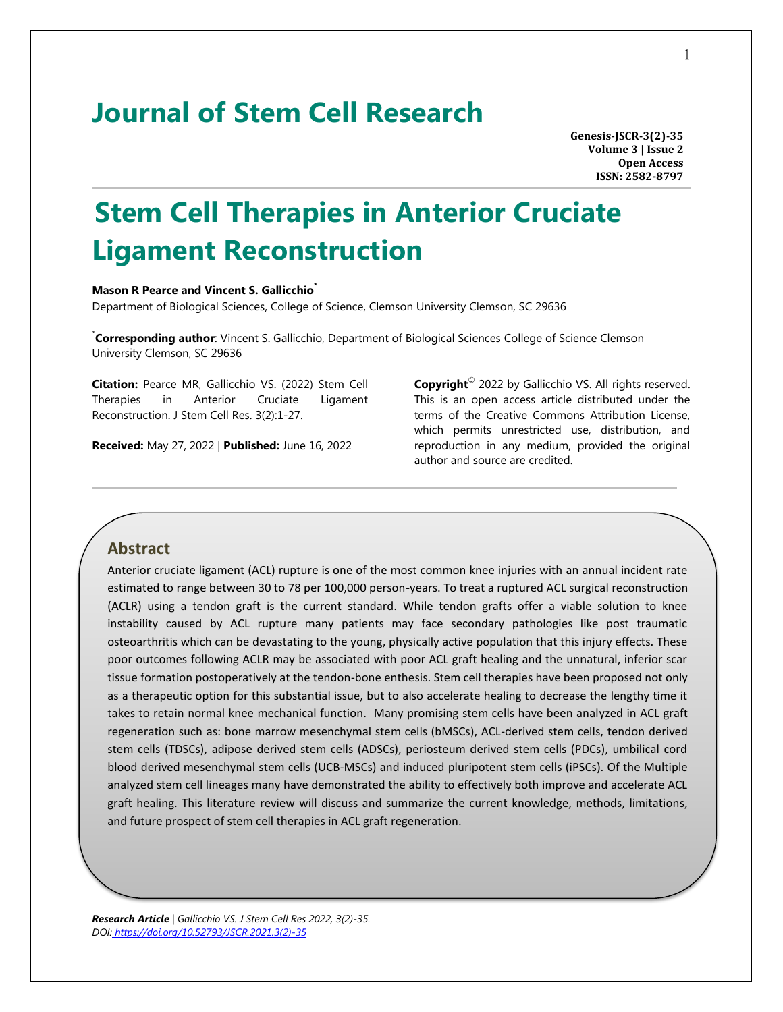## **Journal of Stem Cell Research**

**Genesis-JSCR-3(2)-35 Volume 3 | Issue 2 Open Access ISSN: 2582-8797**

# **Stem Cell Therapies in Anterior Cruciate Ligament Reconstruction**

#### **Mason R Pearce and Vincent S. Gallicchio\***

Department of Biological Sciences, College of Science, Clemson University Clemson, SC 29636

\* **Corresponding author**: Vincent S. Gallicchio, Department of Biological Sciences College of Science Clemson University Clemson, SC 29636

**Citation:** Pearce MR, Gallicchio VS. (2022) Stem Cell Therapies in Anterior Cruciate Ligament Reconstruction. J Stem Cell Res. 3(2):1-27.

**Received:** May 27, 2022 | **Published:** June 16, 2022

**Copyright**© 2022 by Gallicchio VS. All rights reserved. This is an open access article distributed under the terms of the Creative Commons Attribution License, which permits unrestricted use, distribution, and reproduction in any medium, provided the original author and source are credited.

## **Abstract**

Anterior cruciate ligament (ACL) rupture is one of the most common knee injuries with an annual incident rate estimated to range between 30 to 78 per 100,000 person-years. To treat a ruptured ACL surgical reconstruction (ACLR) using a tendon graft is the current standard. While tendon grafts offer a viable solution to knee instability caused by ACL rupture many patients may face secondary pathologies like post traumatic osteoarthritis which can be devastating to the young, physically active population that this injury effects. These poor outcomes following ACLR may be associated with poor ACL graft healing and the unnatural, inferior scar tissue formation postoperatively at the tendon-bone enthesis. Stem cell therapies have been proposed not only as a therapeutic option for this substantial issue, but to also accelerate healing to decrease the lengthy time it takes to retain normal knee mechanical function. Many promising stem cells have been analyzed in ACL graft regeneration such as: bone marrow mesenchymal stem cells (bMSCs), ACL-derived stem cells, tendon derived stem cells (TDSCs), adipose derived stem cells (ADSCs), periosteum derived stem cells (PDCs), umbilical cord blood derived mesenchymal stem cells (UCB-MSCs) and induced pluripotent stem cells (iPSCs). Of the Multiple analyzed stem cell lineages many have demonstrated the ability to effectively both improve and accelerate ACL graft healing. This literature review will discuss and summarize the current knowledge, methods, limitations, and future prospect of stem cell therapies in ACL graft regeneration.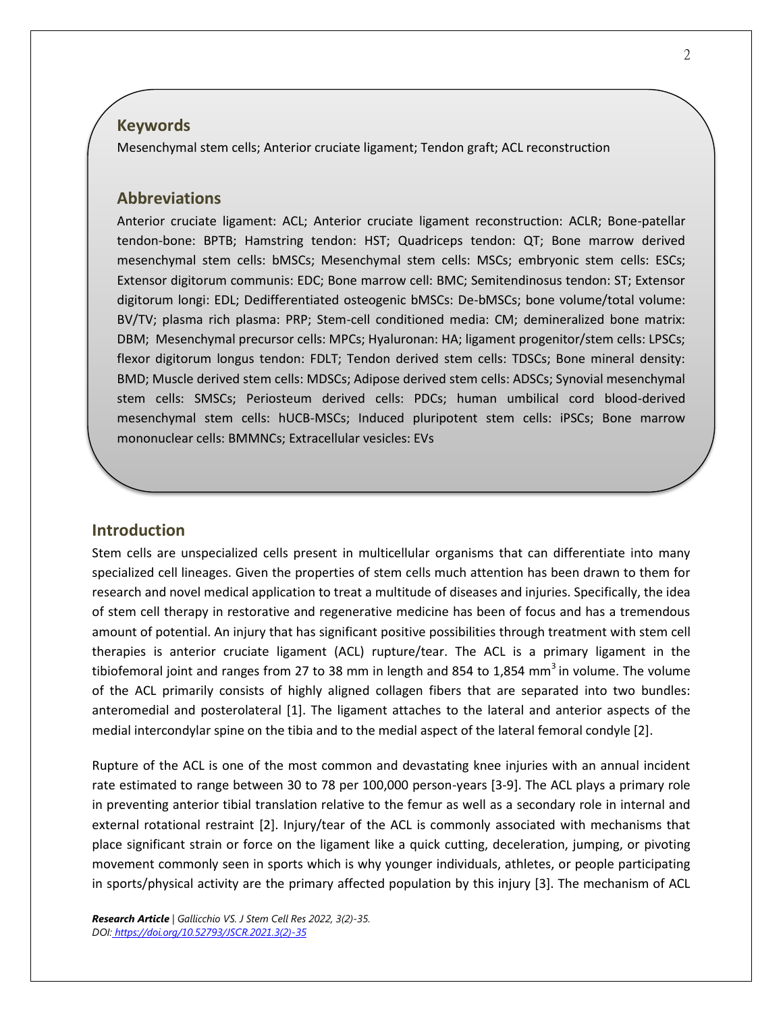## **Keywords**

Mesenchymal stem cells; Anterior cruciate ligament; Tendon graft; ACL reconstruction

## **Abbreviations**

Anterior cruciate ligament: ACL; Anterior cruciate ligament reconstruction: ACLR; Bone-patellar tendon-bone: BPTB; Hamstring tendon: HST; Quadriceps tendon: QT; Bone marrow derived mesenchymal stem cells: bMSCs; Mesenchymal stem cells: MSCs; embryonic stem cells: ESCs; Extensor digitorum communis: EDC; Bone marrow cell: BMC; Semitendinosus tendon: ST; Extensor digitorum longi: EDL; Dedifferentiated osteogenic bMSCs: De-bMSCs; bone volume/total volume: BV/TV; plasma rich plasma: PRP; Stem-cell conditioned media: CM; demineralized bone matrix: DBM; Mesenchymal precursor cells: MPCs; Hyaluronan: HA; ligament progenitor/stem cells: LPSCs; flexor digitorum longus tendon: FDLT; Tendon derived stem cells: TDSCs; Bone mineral density: BMD; Muscle derived stem cells: MDSCs; Adipose derived stem cells: ADSCs; Synovial mesenchymal stem cells: SMSCs; Periosteum derived cells: PDCs; human umbilical cord blood-derived mesenchymal stem cells: hUCB-MSCs; Induced pluripotent stem cells: iPSCs; Bone marrow mononuclear cells: BMMNCs; Extracellular vesicles: EVs

## **Introduction**

Stem cells are unspecialized cells present in multicellular organisms that can differentiate into many specialized cell lineages. Given the properties of stem cells much attention has been drawn to them for research and novel medical application to treat a multitude of diseases and injuries. Specifically, the idea of stem cell therapy in restorative and regenerative medicine has been of focus and has a tremendous amount of potential. An injury that has significant positive possibilities through treatment with stem cell therapies is anterior cruciate ligament (ACL) rupture/tear. The ACL is a primary ligament in the tibiofemoral joint and ranges from 27 to 38 mm in length and 854 to 1,854 mm<sup>3</sup> in volume. The volume of the ACL primarily consists of highly aligned collagen fibers that are separated into two bundles: anteromedial and posterolateral [1]. The ligament attaches to the lateral and anterior aspects of the medial intercondylar spine on the tibia and to the medial aspect of the lateral femoral condyle [2].

Rupture of the ACL is one of the most common and devastating knee injuries with an annual incident rate estimated to range between 30 to 78 per 100,000 person-years [3-9]. The ACL plays a primary role in preventing anterior tibial translation relative to the femur as well as a secondary role in internal and external rotational restraint [2]. Injury/tear of the ACL is commonly associated with mechanisms that place significant strain or force on the ligament like a quick cutting, deceleration, jumping, or pivoting movement commonly seen in sports which is why younger individuals, athletes, or people participating in sports/physical activity are the primary affected population by this injury [3]. The mechanism of ACL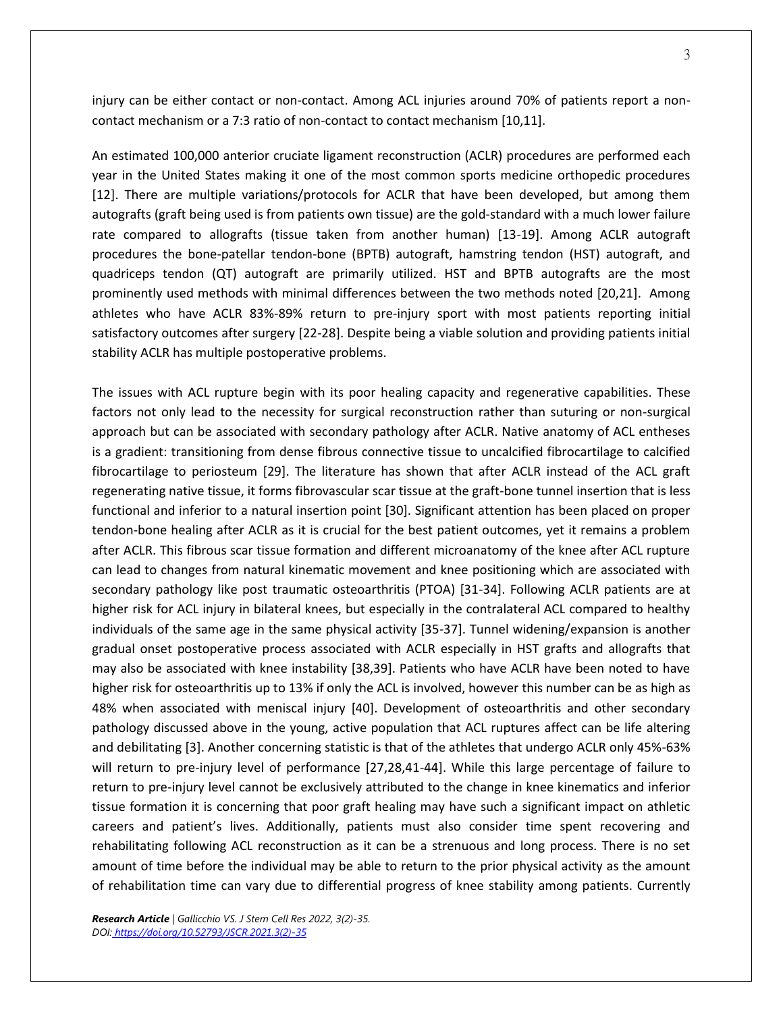injury can be either contact or non-contact. Among ACL injuries around 70% of patients report a noncontact mechanism or a 7:3 ratio of non-contact to contact mechanism [10,11].

An estimated 100,000 anterior cruciate ligament reconstruction (ACLR) procedures are performed each year in the United States making it one of the most common sports medicine orthopedic procedures [12]. There are multiple variations/protocols for ACLR that have been developed, but among them autografts (graft being used is from patients own tissue) are the gold-standard with a much lower failure rate compared to allografts (tissue taken from another human) [13-19]. Among ACLR autograft procedures the bone-patellar tendon-bone (BPTB) autograft, hamstring tendon (HST) autograft, and quadriceps tendon (QT) autograft are primarily utilized. HST and BPTB autografts are the most prominently used methods with minimal differences between the two methods noted [20,21]. Among athletes who have ACLR 83%-89% return to pre-injury sport with most patients reporting initial satisfactory outcomes after surgery [22-28]. Despite being a viable solution and providing patients initial stability ACLR has multiple postoperative problems.

The issues with ACL rupture begin with its poor healing capacity and regenerative capabilities. These factors not only lead to the necessity for surgical reconstruction rather than suturing or non-surgical approach but can be associated with secondary pathology after ACLR. Native anatomy of ACL entheses is a gradient: transitioning from dense fibrous connective tissue to uncalcified fibrocartilage to calcified fibrocartilage to periosteum [29]. The literature has shown that after ACLR instead of the ACL graft regenerating native tissue, it forms fibrovascular scar tissue at the graft-bone tunnel insertion that is less functional and inferior to a natural insertion point [30]. Significant attention has been placed on proper tendon-bone healing after ACLR as it is crucial for the best patient outcomes, yet it remains a problem after ACLR. This fibrous scar tissue formation and different microanatomy of the knee after ACL rupture can lead to changes from natural kinematic movement and knee positioning which are associated with secondary pathology like post traumatic osteoarthritis (PTOA) [31-34]. Following ACLR patients are at higher risk for ACL injury in bilateral knees, but especially in the contralateral ACL compared to healthy individuals of the same age in the same physical activity [35-37]. Tunnel widening/expansion is another gradual onset postoperative process associated with ACLR especially in HST grafts and allografts that may also be associated with knee instability [38,39]. Patients who have ACLR have been noted to have higher risk for osteoarthritis up to 13% if only the ACL is involved, however this number can be as high as 48% when associated with meniscal injury [40]. Development of osteoarthritis and other secondary pathology discussed above in the young, active population that ACL ruptures affect can be life altering and debilitating [3]. Another concerning statistic is that of the athletes that undergo ACLR only 45%-63% will return to pre-injury level of performance [27,28,41-44]. While this large percentage of failure to return to pre-injury level cannot be exclusively attributed to the change in knee kinematics and inferior tissue formation it is concerning that poor graft healing may have such a significant impact on athletic careers and patient's lives. Additionally, patients must also consider time spent recovering and rehabilitating following ACL reconstruction as it can be a strenuous and long process. There is no set amount of time before the individual may be able to return to the prior physical activity as the amount of rehabilitation time can vary due to differential progress of knee stability among patients. Currently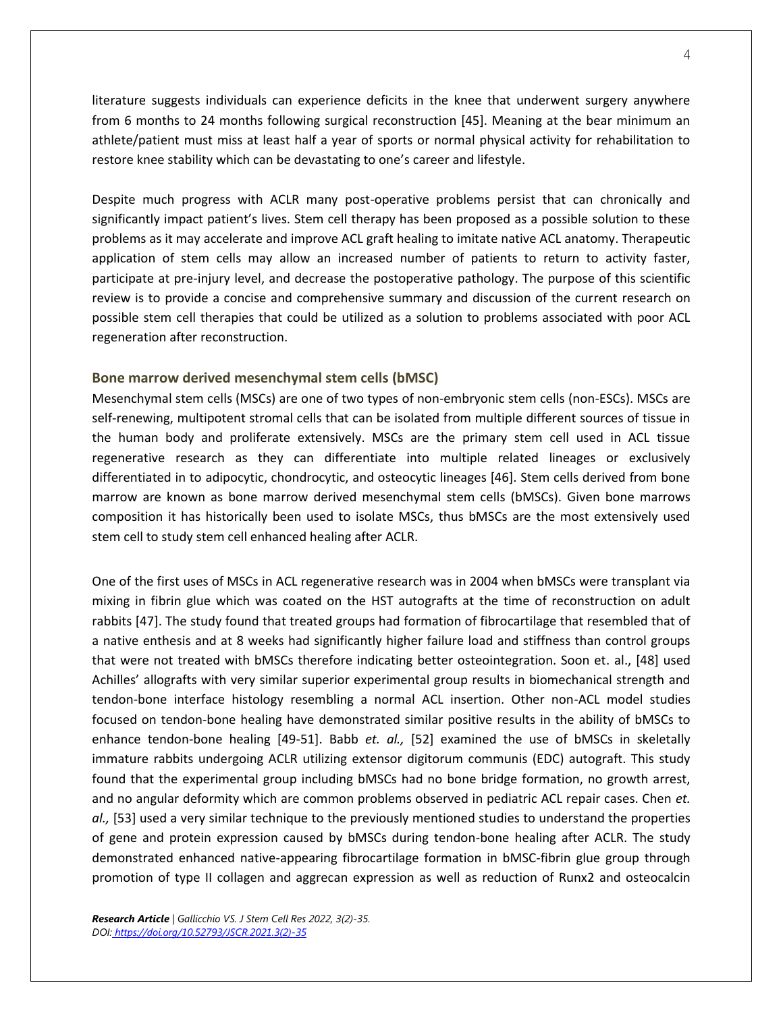literature suggests individuals can experience deficits in the knee that underwent surgery anywhere from 6 months to 24 months following surgical reconstruction [45]. Meaning at the bear minimum an athlete/patient must miss at least half a year of sports or normal physical activity for rehabilitation to restore knee stability which can be devastating to one's career and lifestyle.

Despite much progress with ACLR many post-operative problems persist that can chronically and significantly impact patient's lives. Stem cell therapy has been proposed as a possible solution to these problems as it may accelerate and improve ACL graft healing to imitate native ACL anatomy. Therapeutic application of stem cells may allow an increased number of patients to return to activity faster, participate at pre-injury level, and decrease the postoperative pathology. The purpose of this scientific review is to provide a concise and comprehensive summary and discussion of the current research on possible stem cell therapies that could be utilized as a solution to problems associated with poor ACL regeneration after reconstruction.

## **Bone marrow derived mesenchymal stem cells (bMSC)**

Mesenchymal stem cells (MSCs) are one of two types of non-embryonic stem cells (non-ESCs). MSCs are self-renewing, multipotent stromal cells that can be isolated from multiple different sources of tissue in the human body and proliferate extensively. MSCs are the primary stem cell used in ACL tissue regenerative research as they can differentiate into multiple related lineages or exclusively differentiated in to adipocytic, chondrocytic, and osteocytic lineages [46]. Stem cells derived from bone marrow are known as bone marrow derived mesenchymal stem cells (bMSCs). Given bone marrows composition it has historically been used to isolate MSCs, thus bMSCs are the most extensively used stem cell to study stem cell enhanced healing after ACLR.

One of the first uses of MSCs in ACL regenerative research was in 2004 when bMSCs were transplant via mixing in fibrin glue which was coated on the HST autografts at the time of reconstruction on adult rabbits [47]. The study found that treated groups had formation of fibrocartilage that resembled that of a native enthesis and at 8 weeks had significantly higher failure load and stiffness than control groups that were not treated with bMSCs therefore indicating better osteointegration. Soon et. al., [48] used Achilles' allografts with very similar superior experimental group results in biomechanical strength and tendon-bone interface histology resembling a normal ACL insertion. Other non-ACL model studies focused on tendon-bone healing have demonstrated similar positive results in the ability of bMSCs to enhance tendon-bone healing [49-51]. Babb *et. al.,* [52] examined the use of bMSCs in skeletally immature rabbits undergoing ACLR utilizing extensor digitorum communis (EDC) autograft. This study found that the experimental group including bMSCs had no bone bridge formation, no growth arrest, and no angular deformity which are common problems observed in pediatric ACL repair cases. Chen *et. al.,* [53] used a very similar technique to the previously mentioned studies to understand the properties of gene and protein expression caused by bMSCs during tendon-bone healing after ACLR. The study demonstrated enhanced native-appearing fibrocartilage formation in bMSC-fibrin glue group through promotion of type II collagen and aggrecan expression as well as reduction of Runx2 and osteocalcin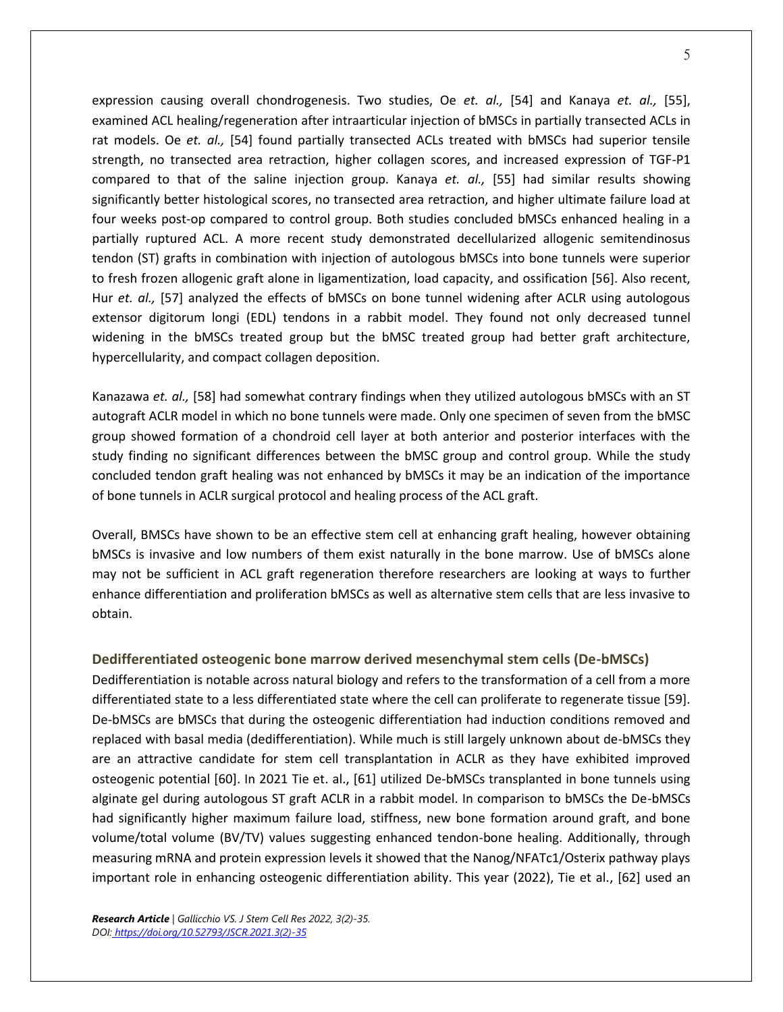expression causing overall chondrogenesis. Two studies, Oe *et. al.,* [54] and Kanaya *et. al.,* [55], examined ACL healing/regeneration after intraarticular injection of bMSCs in partially transected ACLs in rat models. Oe *et. al.,* [54] found partially transected ACLs treated with bMSCs had superior tensile strength, no transected area retraction, higher collagen scores, and increased expression of TGF-P1 compared to that of the saline injection group. Kanaya *et. al.,* [55] had similar results showing significantly better histological scores, no transected area retraction, and higher ultimate failure load at four weeks post-op compared to control group. Both studies concluded bMSCs enhanced healing in a partially ruptured ACL. A more recent study demonstrated decellularized allogenic semitendinosus tendon (ST) grafts in combination with injection of autologous bMSCs into bone tunnels were superior to fresh frozen allogenic graft alone in ligamentization, load capacity, and ossification [56]. Also recent, Hur *et. al.,* [57] analyzed the effects of bMSCs on bone tunnel widening after ACLR using autologous extensor digitorum longi (EDL) tendons in a rabbit model. They found not only decreased tunnel widening in the bMSCs treated group but the bMSC treated group had better graft architecture, hypercellularity, and compact collagen deposition.

Kanazawa *et. al.,* [58] had somewhat contrary findings when they utilized autologous bMSCs with an ST autograft ACLR model in which no bone tunnels were made. Only one specimen of seven from the bMSC group showed formation of a chondroid cell layer at both anterior and posterior interfaces with the study finding no significant differences between the bMSC group and control group. While the study concluded tendon graft healing was not enhanced by bMSCs it may be an indication of the importance of bone tunnels in ACLR surgical protocol and healing process of the ACL graft.

Overall, BMSCs have shown to be an effective stem cell at enhancing graft healing, however obtaining bMSCs is invasive and low numbers of them exist naturally in the bone marrow. Use of bMSCs alone may not be sufficient in ACL graft regeneration therefore researchers are looking at ways to further enhance differentiation and proliferation bMSCs as well as alternative stem cells that are less invasive to obtain.

## **Dedifferentiated osteogenic bone marrow derived mesenchymal stem cells (De-bMSCs)**

Dedifferentiation is notable across natural biology and refers to the transformation of a cell from a more differentiated state to a less differentiated state where the cell can proliferate to regenerate tissue [59]. De-bMSCs are bMSCs that during the osteogenic differentiation had induction conditions removed and replaced with basal media (dedifferentiation). While much is still largely unknown about de-bMSCs they are an attractive candidate for stem cell transplantation in ACLR as they have exhibited improved osteogenic potential [60]. In 2021 Tie et. al., [61] utilized De-bMSCs transplanted in bone tunnels using alginate gel during autologous ST graft ACLR in a rabbit model. In comparison to bMSCs the De-bMSCs had significantly higher maximum failure load, stiffness, new bone formation around graft, and bone volume/total volume (BV/TV) values suggesting enhanced tendon-bone healing. Additionally, through measuring mRNA and protein expression levels it showed that the Nanog/NFATc1/Osterix pathway plays important role in enhancing osteogenic differentiation ability. This year (2022), Tie et al., [62] used an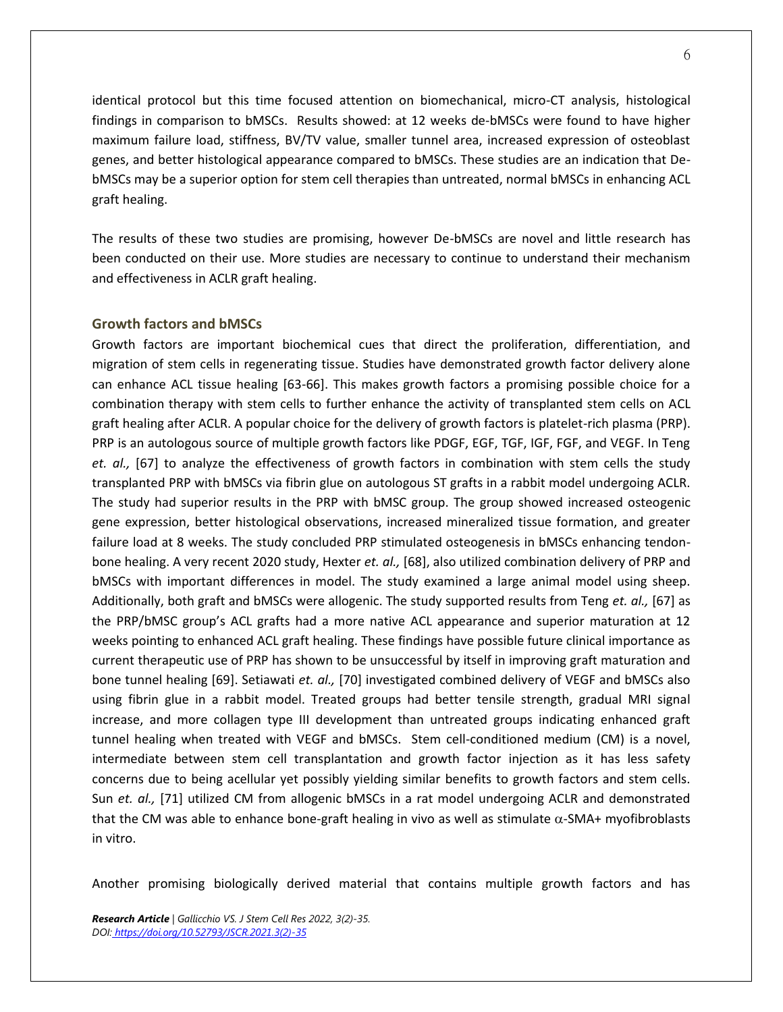identical protocol but this time focused attention on biomechanical, micro-CT analysis, histological findings in comparison to bMSCs. Results showed: at 12 weeks de-bMSCs were found to have higher maximum failure load, stiffness, BV/TV value, smaller tunnel area, increased expression of osteoblast genes, and better histological appearance compared to bMSCs. These studies are an indication that DebMSCs may be a superior option for stem cell therapies than untreated, normal bMSCs in enhancing ACL graft healing.

The results of these two studies are promising, however De-bMSCs are novel and little research has been conducted on their use. More studies are necessary to continue to understand their mechanism and effectiveness in ACLR graft healing.

#### **Growth factors and bMSCs**

Growth factors are important biochemical cues that direct the proliferation, differentiation, and migration of stem cells in regenerating tissue. Studies have demonstrated growth factor delivery alone can enhance ACL tissue healing [63-66]. This makes growth factors a promising possible choice for a combination therapy with stem cells to further enhance the activity of transplanted stem cells on ACL graft healing after ACLR. A popular choice for the delivery of growth factors is platelet-rich plasma (PRP). PRP is an autologous source of multiple growth factors like PDGF, EGF, TGF, IGF, FGF, and VEGF. In Teng *et. al.,* [67] to analyze the effectiveness of growth factors in combination with stem cells the study transplanted PRP with bMSCs via fibrin glue on autologous ST grafts in a rabbit model undergoing ACLR. The study had superior results in the PRP with bMSC group. The group showed increased osteogenic gene expression, better histological observations, increased mineralized tissue formation, and greater failure load at 8 weeks. The study concluded PRP stimulated osteogenesis in bMSCs enhancing tendonbone healing. A very recent 2020 study, Hexter *et. al.,* [68], also utilized combination delivery of PRP and bMSCs with important differences in model. The study examined a large animal model using sheep. Additionally, both graft and bMSCs were allogenic. The study supported results from Teng *et. al.,* [67] as the PRP/bMSC group's ACL grafts had a more native ACL appearance and superior maturation at 12 weeks pointing to enhanced ACL graft healing. These findings have possible future clinical importance as current therapeutic use of PRP has shown to be unsuccessful by itself in improving graft maturation and bone tunnel healing [69]. Setiawati *et. al.,* [70] investigated combined delivery of VEGF and bMSCs also using fibrin glue in a rabbit model. Treated groups had better tensile strength, gradual MRI signal increase, and more collagen type III development than untreated groups indicating enhanced graft tunnel healing when treated with VEGF and bMSCs. Stem cell-conditioned medium (CM) is a novel, intermediate between stem cell transplantation and growth factor injection as it has less safety concerns due to being acellular yet possibly yielding similar benefits to growth factors and stem cells. Sun *et. al.,* [71] utilized CM from allogenic bMSCs in a rat model undergoing ACLR and demonstrated that the CM was able to enhance bone-graft healing in vivo as well as stimulate  $\alpha$ -SMA+ myofibroblasts in vitro.

Another promising biologically derived material that contains multiple growth factors and has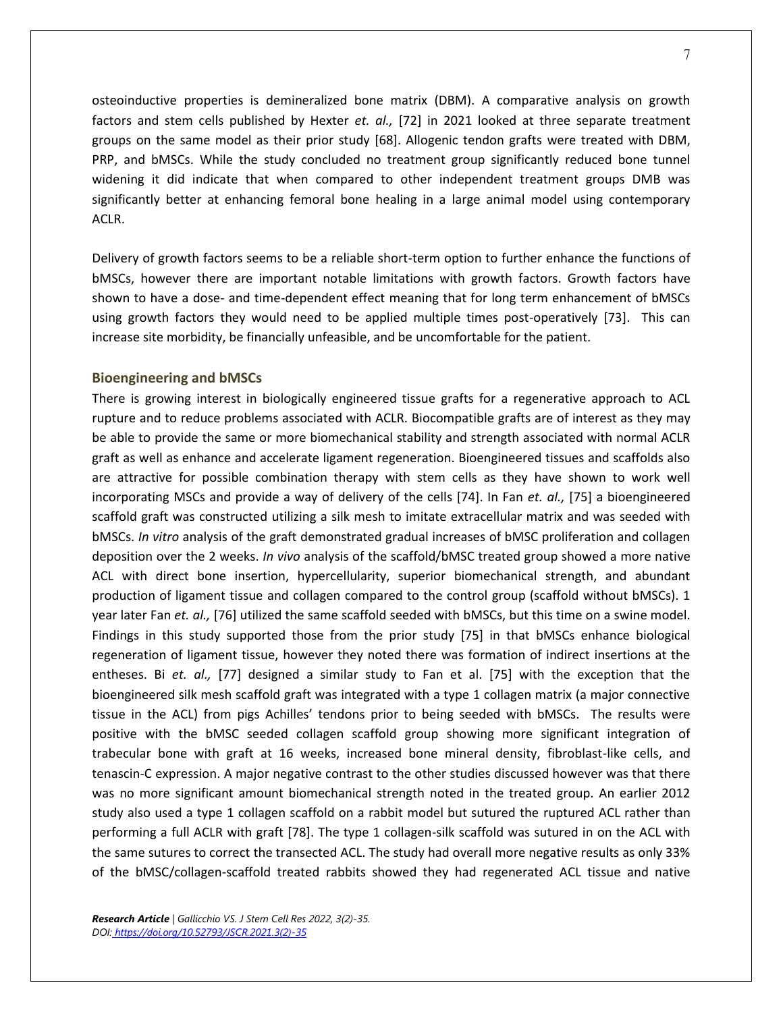osteoinductive properties is demineralized bone matrix (DBM). A comparative analysis on growth factors and stem cells published by Hexter *et. al.,* [72] in 2021 looked at three separate treatment groups on the same model as their prior study [68]. Allogenic tendon grafts were treated with DBM, PRP, and bMSCs. While the study concluded no treatment group significantly reduced bone tunnel widening it did indicate that when compared to other independent treatment groups DMB was significantly better at enhancing femoral bone healing in a large animal model using contemporary ACLR.

Delivery of growth factors seems to be a reliable short-term option to further enhance the functions of bMSCs, however there are important notable limitations with growth factors. Growth factors have shown to have a dose- and time-dependent effect meaning that for long term enhancement of bMSCs using growth factors they would need to be applied multiple times post-operatively [73]. This can increase site morbidity, be financially unfeasible, and be uncomfortable for the patient.

## **Bioengineering and bMSCs**

There is growing interest in biologically engineered tissue grafts for a regenerative approach to ACL rupture and to reduce problems associated with ACLR. Biocompatible grafts are of interest as they may be able to provide the same or more biomechanical stability and strength associated with normal ACLR graft as well as enhance and accelerate ligament regeneration. Bioengineered tissues and scaffolds also are attractive for possible combination therapy with stem cells as they have shown to work well incorporating MSCs and provide a way of delivery of the cells [74]. In Fan *et. al.,* [75] a bioengineered scaffold graft was constructed utilizing a silk mesh to imitate extracellular matrix and was seeded with bMSCs. *In vitro* analysis of the graft demonstrated gradual increases of bMSC proliferation and collagen deposition over the 2 weeks. *In vivo* analysis of the scaffold/bMSC treated group showed a more native ACL with direct bone insertion, hypercellularity, superior biomechanical strength, and abundant production of ligament tissue and collagen compared to the control group (scaffold without bMSCs). 1 year later Fan *et. al.,* [76] utilized the same scaffold seeded with bMSCs, but this time on a swine model. Findings in this study supported those from the prior study [75] in that bMSCs enhance biological regeneration of ligament tissue, however they noted there was formation of indirect insertions at the entheses. Bi *et. al.,* [77] designed a similar study to Fan et al. [75] with the exception that the bioengineered silk mesh scaffold graft was integrated with a type 1 collagen matrix (a major connective tissue in the ACL) from pigs Achilles' tendons prior to being seeded with bMSCs. The results were positive with the bMSC seeded collagen scaffold group showing more significant integration of trabecular bone with graft at 16 weeks, increased bone mineral density, fibroblast-like cells, and tenascin-C expression. A major negative contrast to the other studies discussed however was that there was no more significant amount biomechanical strength noted in the treated group. An earlier 2012 study also used a type 1 collagen scaffold on a rabbit model but sutured the ruptured ACL rather than performing a full ACLR with graft [78]. The type 1 collagen-silk scaffold was sutured in on the ACL with the same sutures to correct the transected ACL. The study had overall more negative results as only 33% of the bMSC/collagen-scaffold treated rabbits showed they had regenerated ACL tissue and native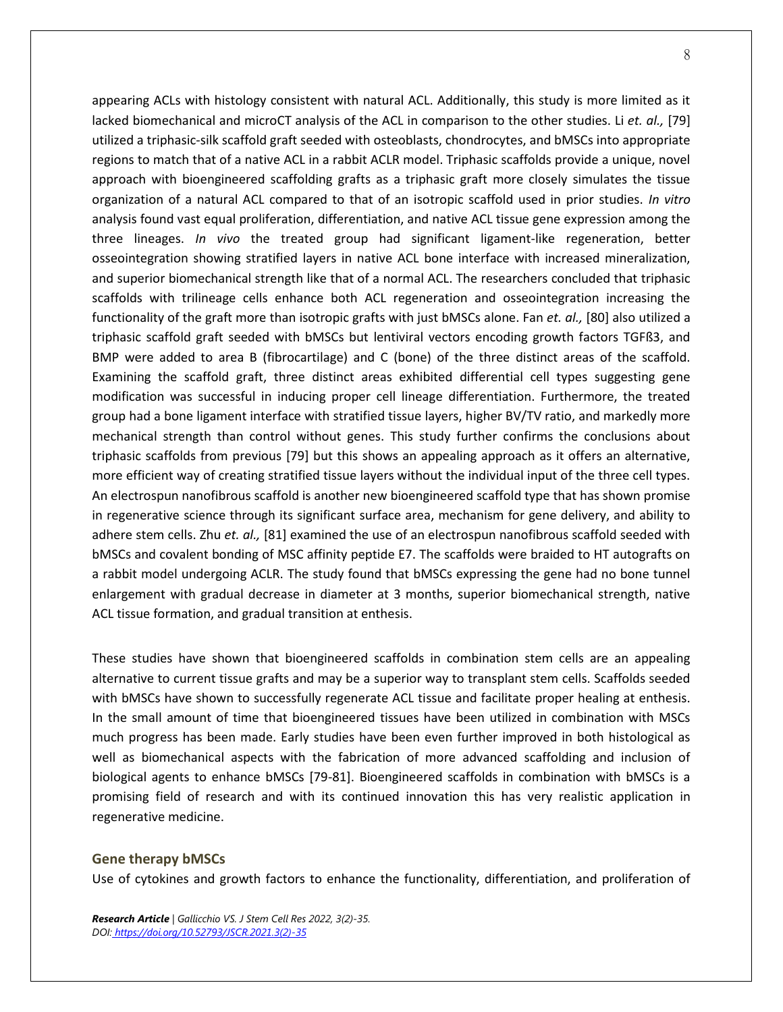appearing ACLs with histology consistent with natural ACL. Additionally, this study is more limited as it lacked biomechanical and microCT analysis of the ACL in comparison to the other studies. Li *et. al.,* [79] utilized a triphasic-silk scaffold graft seeded with osteoblasts, chondrocytes, and bMSCs into appropriate regions to match that of a native ACL in a rabbit ACLR model. Triphasic scaffolds provide a unique, novel approach with bioengineered scaffolding grafts as a triphasic graft more closely simulates the tissue organization of a natural ACL compared to that of an isotropic scaffold used in prior studies. *In vitro* analysis found vast equal proliferation, differentiation, and native ACL tissue gene expression among the three lineages. *In vivo* the treated group had significant ligament-like regeneration, better osseointegration showing stratified layers in native ACL bone interface with increased mineralization, and superior biomechanical strength like that of a normal ACL. The researchers concluded that triphasic scaffolds with trilineage cells enhance both ACL regeneration and osseointegration increasing the functionality of the graft more than isotropic grafts with just bMSCs alone. Fan *et. al.,* [80] also utilized a triphasic scaffold graft seeded with bMSCs but lentiviral vectors encoding growth factors TGFß3, and BMP were added to area B (fibrocartilage) and C (bone) of the three distinct areas of the scaffold. Examining the scaffold graft, three distinct areas exhibited differential cell types suggesting gene modification was successful in inducing proper cell lineage differentiation. Furthermore, the treated group had a bone ligament interface with stratified tissue layers, higher BV/TV ratio, and markedly more mechanical strength than control without genes. This study further confirms the conclusions about triphasic scaffolds from previous [79] but this shows an appealing approach as it offers an alternative, more efficient way of creating stratified tissue layers without the individual input of the three cell types. An electrospun nanofibrous scaffold is another new bioengineered scaffold type that has shown promise in regenerative science through its significant surface area, mechanism for gene delivery, and ability to adhere stem cells. Zhu *et. al.,* [81] examined the use of an electrospun nanofibrous scaffold seeded with bMSCs and covalent bonding of MSC affinity peptide E7. The scaffolds were braided to HT autografts on a rabbit model undergoing ACLR. The study found that bMSCs expressing the gene had no bone tunnel enlargement with gradual decrease in diameter at 3 months, superior biomechanical strength, native ACL tissue formation, and gradual transition at enthesis.

These studies have shown that bioengineered scaffolds in combination stem cells are an appealing alternative to current tissue grafts and may be a superior way to transplant stem cells. Scaffolds seeded with bMSCs have shown to successfully regenerate ACL tissue and facilitate proper healing at enthesis. In the small amount of time that bioengineered tissues have been utilized in combination with MSCs much progress has been made. Early studies have been even further improved in both histological as well as biomechanical aspects with the fabrication of more advanced scaffolding and inclusion of biological agents to enhance bMSCs [79-81]. Bioengineered scaffolds in combination with bMSCs is a promising field of research and with its continued innovation this has very realistic application in regenerative medicine.

## **Gene therapy bMSCs**

Use of cytokines and growth factors to enhance the functionality, differentiation, and proliferation of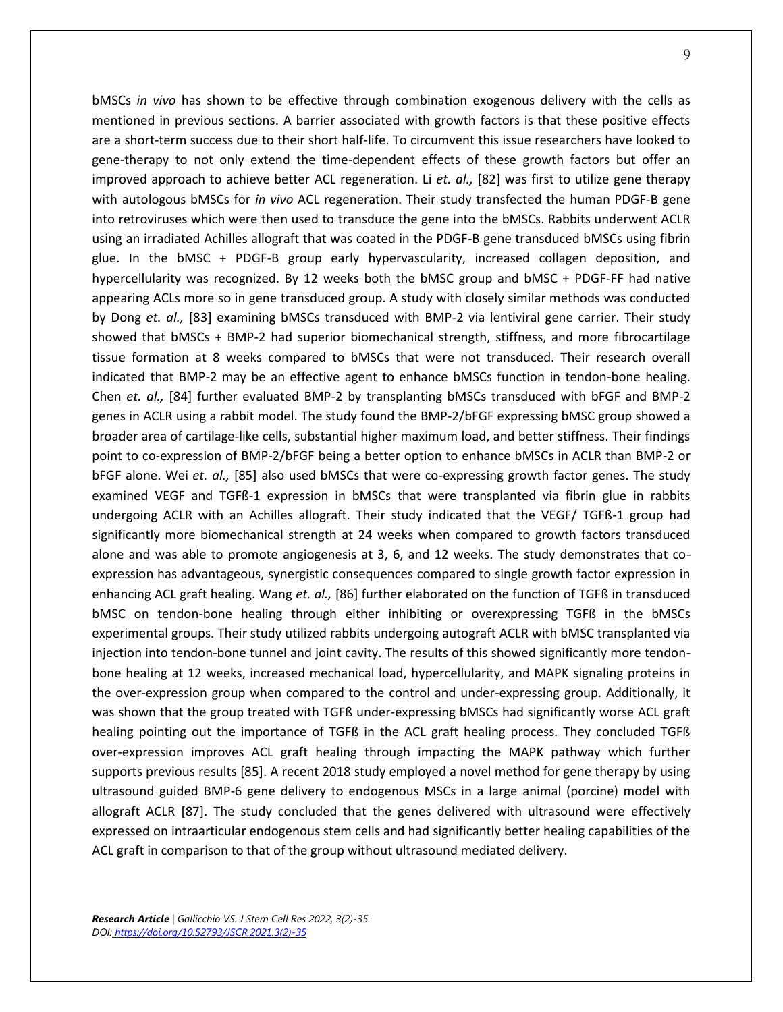bMSCs *in vivo* has shown to be effective through combination exogenous delivery with the cells as mentioned in previous sections. A barrier associated with growth factors is that these positive effects are a short-term success due to their short half-life. To circumvent this issue researchers have looked to gene-therapy to not only extend the time-dependent effects of these growth factors but offer an improved approach to achieve better ACL regeneration. Li *et. al.,* [82] was first to utilize gene therapy with autologous bMSCs for *in vivo* ACL regeneration. Their study transfected the human PDGF-B gene into retroviruses which were then used to transduce the gene into the bMSCs. Rabbits underwent ACLR using an irradiated Achilles allograft that was coated in the PDGF-B gene transduced bMSCs using fibrin glue. In the bMSC + PDGF-B group early hypervascularity, increased collagen deposition, and hypercellularity was recognized. By 12 weeks both the bMSC group and bMSC + PDGF-FF had native appearing ACLs more so in gene transduced group. A study with closely similar methods was conducted by Dong *et. al.,* [83] examining bMSCs transduced with BMP-2 via lentiviral gene carrier. Their study showed that bMSCs + BMP-2 had superior biomechanical strength, stiffness, and more fibrocartilage tissue formation at 8 weeks compared to bMSCs that were not transduced. Their research overall indicated that BMP-2 may be an effective agent to enhance bMSCs function in tendon-bone healing. Chen *et. al.,* [84] further evaluated BMP-2 by transplanting bMSCs transduced with bFGF and BMP-2 genes in ACLR using a rabbit model. The study found the BMP-2/bFGF expressing bMSC group showed a broader area of cartilage-like cells, substantial higher maximum load, and better stiffness. Their findings point to co-expression of BMP-2/bFGF being a better option to enhance bMSCs in ACLR than BMP-2 or bFGF alone. Wei *et. al.,* [85] also used bMSCs that were co-expressing growth factor genes. The study examined VEGF and TGFß-1 expression in bMSCs that were transplanted via fibrin glue in rabbits undergoing ACLR with an Achilles allograft. Their study indicated that the VEGF/ TGFß-1 group had significantly more biomechanical strength at 24 weeks when compared to growth factors transduced alone and was able to promote angiogenesis at 3, 6, and 12 weeks. The study demonstrates that coexpression has advantageous, synergistic consequences compared to single growth factor expression in enhancing ACL graft healing. Wang *et. al.,* [86] further elaborated on the function of TGFß in transduced bMSC on tendon-bone healing through either inhibiting or overexpressing TGFß in the bMSCs experimental groups. Their study utilized rabbits undergoing autograft ACLR with bMSC transplanted via injection into tendon-bone tunnel and joint cavity. The results of this showed significantly more tendonbone healing at 12 weeks, increased mechanical load, hypercellularity, and MAPK signaling proteins in the over-expression group when compared to the control and under-expressing group. Additionally, it was shown that the group treated with TGFß under-expressing bMSCs had significantly worse ACL graft healing pointing out the importance of TGFß in the ACL graft healing process. They concluded TGFß over-expression improves ACL graft healing through impacting the MAPK pathway which further supports previous results [85]. A recent 2018 study employed a novel method for gene therapy by using ultrasound guided BMP-6 gene delivery to endogenous MSCs in a large animal (porcine) model with allograft ACLR [87]. The study concluded that the genes delivered with ultrasound were effectively expressed on intraarticular endogenous stem cells and had significantly better healing capabilities of the ACL graft in comparison to that of the group without ultrasound mediated delivery.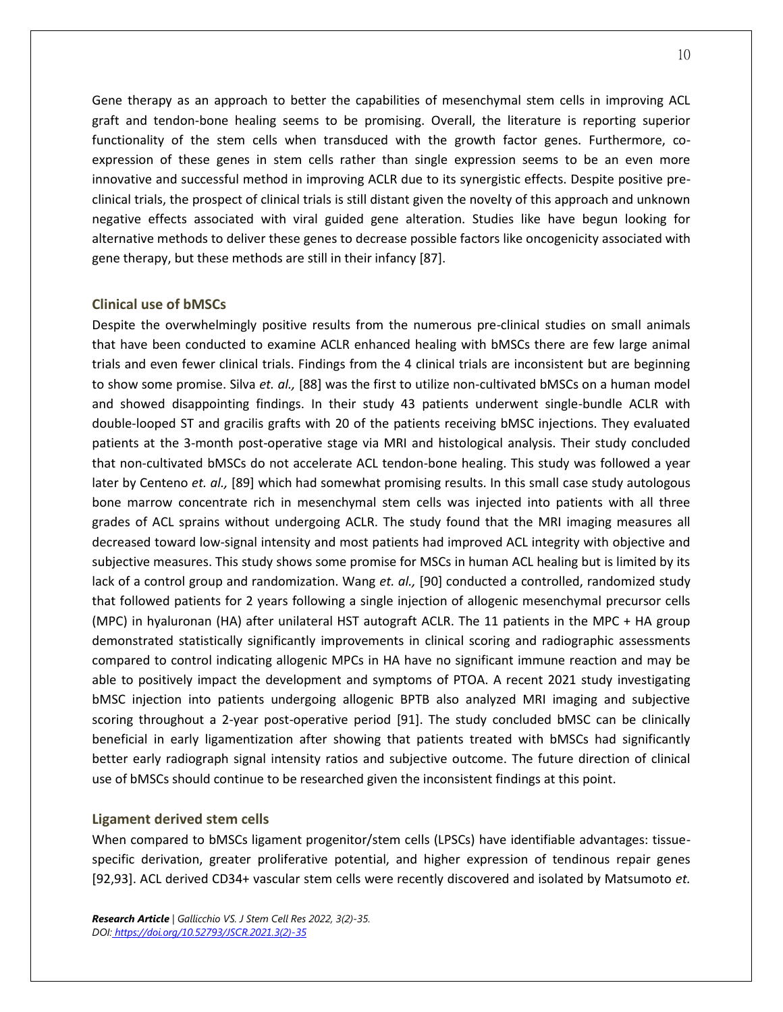Gene therapy as an approach to better the capabilities of mesenchymal stem cells in improving ACL graft and tendon-bone healing seems to be promising. Overall, the literature is reporting superior functionality of the stem cells when transduced with the growth factor genes. Furthermore, coexpression of these genes in stem cells rather than single expression seems to be an even more innovative and successful method in improving ACLR due to its synergistic effects. Despite positive preclinical trials, the prospect of clinical trials is still distant given the novelty of this approach and unknown negative effects associated with viral guided gene alteration. Studies like have begun looking for alternative methods to deliver these genes to decrease possible factors like oncogenicity associated with gene therapy, but these methods are still in their infancy [87].

## **Clinical use of bMSCs**

Despite the overwhelmingly positive results from the numerous pre-clinical studies on small animals that have been conducted to examine ACLR enhanced healing with bMSCs there are few large animal trials and even fewer clinical trials. Findings from the 4 clinical trials are inconsistent but are beginning to show some promise. Silva *et. al.,* [88] was the first to utilize non-cultivated bMSCs on a human model and showed disappointing findings. In their study 43 patients underwent single-bundle ACLR with double-looped ST and gracilis grafts with 20 of the patients receiving bMSC injections. They evaluated patients at the 3-month post-operative stage via MRI and histological analysis. Their study concluded that non-cultivated bMSCs do not accelerate ACL tendon-bone healing. This study was followed a year later by Centeno *et. al.,* [89] which had somewhat promising results. In this small case study autologous bone marrow concentrate rich in mesenchymal stem cells was injected into patients with all three grades of ACL sprains without undergoing ACLR. The study found that the MRI imaging measures all decreased toward low-signal intensity and most patients had improved ACL integrity with objective and subjective measures. This study shows some promise for MSCs in human ACL healing but is limited by its lack of a control group and randomization. Wang *et. al.,* [90] conducted a controlled, randomized study that followed patients for 2 years following a single injection of allogenic mesenchymal precursor cells (MPC) in hyaluronan (HA) after unilateral HST autograft ACLR. The 11 patients in the MPC + HA group demonstrated statistically significantly improvements in clinical scoring and radiographic assessments compared to control indicating allogenic MPCs in HA have no significant immune reaction and may be able to positively impact the development and symptoms of PTOA. A recent 2021 study investigating bMSC injection into patients undergoing allogenic BPTB also analyzed MRI imaging and subjective scoring throughout a 2-year post-operative period [91]. The study concluded bMSC can be clinically beneficial in early ligamentization after showing that patients treated with bMSCs had significantly better early radiograph signal intensity ratios and subjective outcome. The future direction of clinical use of bMSCs should continue to be researched given the inconsistent findings at this point.

#### **Ligament derived stem cells**

When compared to bMSCs ligament progenitor/stem cells (LPSCs) have identifiable advantages: tissuespecific derivation, greater proliferative potential, and higher expression of tendinous repair genes [92,93]. ACL derived CD34+ vascular stem cells were recently discovered and isolated by Matsumoto *et.*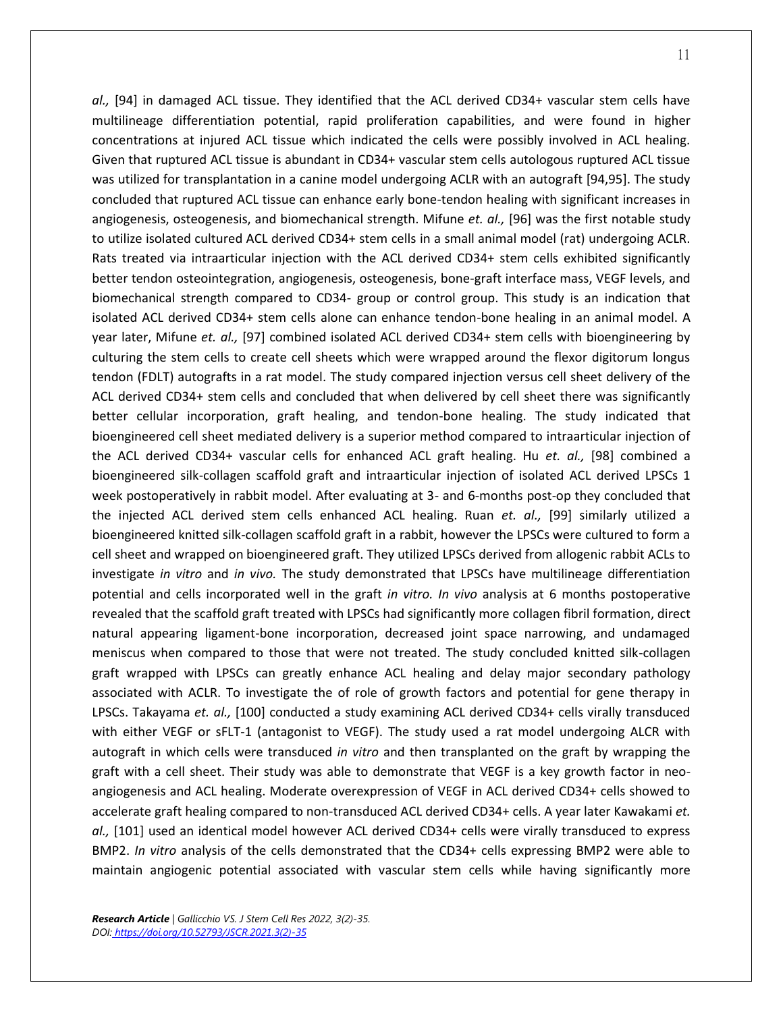*al.,* [94] in damaged ACL tissue. They identified that the ACL derived CD34+ vascular stem cells have multilineage differentiation potential, rapid proliferation capabilities, and were found in higher concentrations at injured ACL tissue which indicated the cells were possibly involved in ACL healing. Given that ruptured ACL tissue is abundant in CD34+ vascular stem cells autologous ruptured ACL tissue was utilized for transplantation in a canine model undergoing ACLR with an autograft [94,95]. The study concluded that ruptured ACL tissue can enhance early bone-tendon healing with significant increases in angiogenesis, osteogenesis, and biomechanical strength. Mifune *et. al.,* [96] was the first notable study to utilize isolated cultured ACL derived CD34+ stem cells in a small animal model (rat) undergoing ACLR. Rats treated via intraarticular injection with the ACL derived CD34+ stem cells exhibited significantly better tendon osteointegration, angiogenesis, osteogenesis, bone-graft interface mass, VEGF levels, and biomechanical strength compared to CD34- group or control group. This study is an indication that isolated ACL derived CD34+ stem cells alone can enhance tendon-bone healing in an animal model. A year later, Mifune *et. al.,* [97] combined isolated ACL derived CD34+ stem cells with bioengineering by culturing the stem cells to create cell sheets which were wrapped around the flexor digitorum longus tendon (FDLT) autografts in a rat model. The study compared injection versus cell sheet delivery of the ACL derived CD34+ stem cells and concluded that when delivered by cell sheet there was significantly better cellular incorporation, graft healing, and tendon-bone healing. The study indicated that bioengineered cell sheet mediated delivery is a superior method compared to intraarticular injection of the ACL derived CD34+ vascular cells for enhanced ACL graft healing. Hu *et. al.,* [98] combined a bioengineered silk-collagen scaffold graft and intraarticular injection of isolated ACL derived LPSCs 1 week postoperatively in rabbit model. After evaluating at 3- and 6-months post-op they concluded that the injected ACL derived stem cells enhanced ACL healing. Ruan *et. al.,* [99] similarly utilized a bioengineered knitted silk-collagen scaffold graft in a rabbit, however the LPSCs were cultured to form a cell sheet and wrapped on bioengineered graft. They utilized LPSCs derived from allogenic rabbit ACLs to investigate *in vitro* and *in vivo.* The study demonstrated that LPSCs have multilineage differentiation potential and cells incorporated well in the graft *in vitro. In vivo* analysis at 6 months postoperative revealed that the scaffold graft treated with LPSCs had significantly more collagen fibril formation, direct natural appearing ligament-bone incorporation, decreased joint space narrowing, and undamaged

meniscus when compared to those that were not treated. The study concluded knitted silk-collagen graft wrapped with LPSCs can greatly enhance ACL healing and delay major secondary pathology associated with ACLR. To investigate the of role of growth factors and potential for gene therapy in LPSCs. Takayama *et. al.,* [100] conducted a study examining ACL derived CD34+ cells virally transduced with either VEGF or sFLT-1 (antagonist to VEGF). The study used a rat model undergoing ALCR with autograft in which cells were transduced *in vitro* and then transplanted on the graft by wrapping the graft with a cell sheet. Their study was able to demonstrate that VEGF is a key growth factor in neoangiogenesis and ACL healing. Moderate overexpression of VEGF in ACL derived CD34+ cells showed to accelerate graft healing compared to non-transduced ACL derived CD34+ cells. A year later Kawakami *et. al.,* [101] used an identical model however ACL derived CD34+ cells were virally transduced to express BMP2. *In vitro* analysis of the cells demonstrated that the CD34+ cells expressing BMP2 were able to maintain angiogenic potential associated with vascular stem cells while having significantly more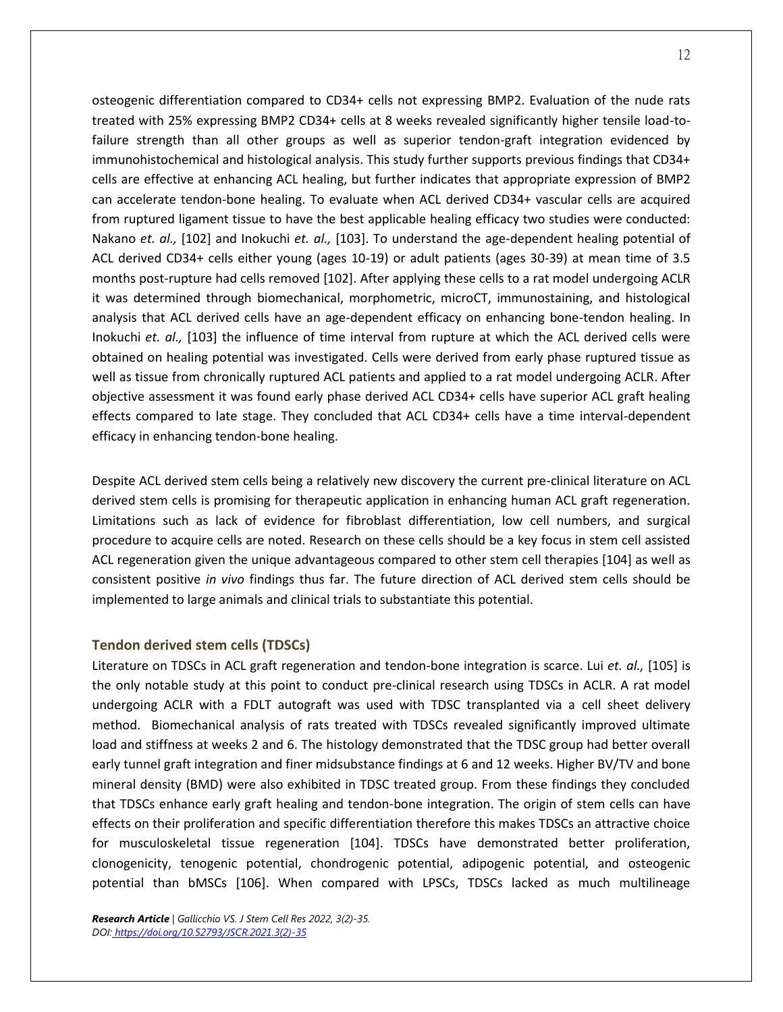osteogenic differentiation compared to CD34+ cells not expressing BMP2. Evaluation of the nude rats treated with 25% expressing BMP2 CD34+ cells at 8 weeks revealed significantly higher tensile load-tofailure strength than all other groups as well as superior tendon-graft integration evidenced by immunohistochemical and histological analysis. This study further supports previous findings that CD34+ cells are effective at enhancing ACL healing, but further indicates that appropriate expression of BMP2 can accelerate tendon-bone healing. To evaluate when ACL derived CD34+ vascular cells are acquired from ruptured ligament tissue to have the best applicable healing efficacy two studies were conducted: Nakano *et. al.,* [102] and Inokuchi *et. al.,* [103]. To understand the age-dependent healing potential of ACL derived CD34+ cells either young (ages 10-19) or adult patients (ages 30-39) at mean time of 3.5 months post-rupture had cells removed [102]. After applying these cells to a rat model undergoing ACLR it was determined through biomechanical, morphometric, microCT, immunostaining, and histological analysis that ACL derived cells have an age-dependent efficacy on enhancing bone-tendon healing. In Inokuchi *et. al.,* [103] the influence of time interval from rupture at which the ACL derived cells were obtained on healing potential was investigated. Cells were derived from early phase ruptured tissue as well as tissue from chronically ruptured ACL patients and applied to a rat model undergoing ACLR. After objective assessment it was found early phase derived ACL CD34+ cells have superior ACL graft healing effects compared to late stage. They concluded that ACL CD34+ cells have a time interval-dependent efficacy in enhancing tendon-bone healing.

Despite ACL derived stem cells being a relatively new discovery the current pre-clinical literature on ACL derived stem cells is promising for therapeutic application in enhancing human ACL graft regeneration. Limitations such as lack of evidence for fibroblast differentiation, low cell numbers, and surgical procedure to acquire cells are noted. Research on these cells should be a key focus in stem cell assisted ACL regeneration given the unique advantageous compared to other stem cell therapies [104] as well as consistent positive *in vivo* findings thus far. The future direction of ACL derived stem cells should be implemented to large animals and clinical trials to substantiate this potential.

## **Tendon derived stem cells (TDSCs)**

Literature on TDSCs in ACL graft regeneration and tendon-bone integration is scarce. Lui *et. al.,* [105] is the only notable study at this point to conduct pre-clinical research using TDSCs in ACLR. A rat model undergoing ACLR with a FDLT autograft was used with TDSC transplanted via a cell sheet delivery method. Biomechanical analysis of rats treated with TDSCs revealed significantly improved ultimate load and stiffness at weeks 2 and 6. The histology demonstrated that the TDSC group had better overall early tunnel graft integration and finer midsubstance findings at 6 and 12 weeks. Higher BV/TV and bone mineral density (BMD) were also exhibited in TDSC treated group. From these findings they concluded that TDSCs enhance early graft healing and tendon-bone integration. The origin of stem cells can have effects on their proliferation and specific differentiation therefore this makes TDSCs an attractive choice for musculoskeletal tissue regeneration [104]. TDSCs have demonstrated better proliferation, clonogenicity, tenogenic potential, chondrogenic potential, adipogenic potential, and osteogenic potential than bMSCs [106]. When compared with LPSCs, TDSCs lacked as much multilineage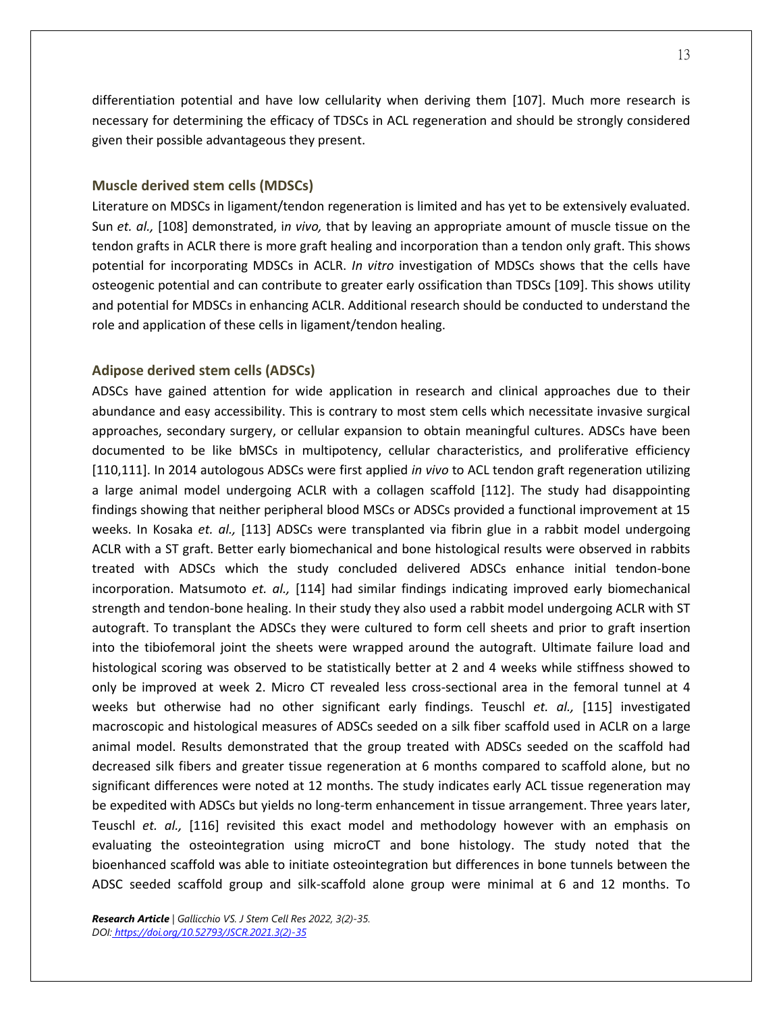differentiation potential and have low cellularity when deriving them [107]. Much more research is necessary for determining the efficacy of TDSCs in ACL regeneration and should be strongly considered given their possible advantageous they present.

## **Muscle derived stem cells (MDSCs)**

Literature on MDSCs in ligament/tendon regeneration is limited and has yet to be extensively evaluated. Sun *et. al.,* [108] demonstrated, i*n vivo,* that by leaving an appropriate amount of muscle tissue on the tendon grafts in ACLR there is more graft healing and incorporation than a tendon only graft. This shows potential for incorporating MDSCs in ACLR. *In vitro* investigation of MDSCs shows that the cells have osteogenic potential and can contribute to greater early ossification than TDSCs [109]. This shows utility and potential for MDSCs in enhancing ACLR. Additional research should be conducted to understand the role and application of these cells in ligament/tendon healing.

#### **Adipose derived stem cells (ADSCs)**

ADSCs have gained attention for wide application in research and clinical approaches due to their abundance and easy accessibility. This is contrary to most stem cells which necessitate invasive surgical approaches, secondary surgery, or cellular expansion to obtain meaningful cultures. ADSCs have been documented to be like bMSCs in multipotency, cellular characteristics, and proliferative efficiency [110,111]. In 2014 autologous ADSCs were first applied *in vivo* to ACL tendon graft regeneration utilizing a large animal model undergoing ACLR with a collagen scaffold [112]. The study had disappointing findings showing that neither peripheral blood MSCs or ADSCs provided a functional improvement at 15 weeks. In Kosaka *et. al.,* [113] ADSCs were transplanted via fibrin glue in a rabbit model undergoing ACLR with a ST graft. Better early biomechanical and bone histological results were observed in rabbits treated with ADSCs which the study concluded delivered ADSCs enhance initial tendon-bone incorporation. Matsumoto *et. al.,* [114] had similar findings indicating improved early biomechanical strength and tendon-bone healing. In their study they also used a rabbit model undergoing ACLR with ST autograft. To transplant the ADSCs they were cultured to form cell sheets and prior to graft insertion into the tibiofemoral joint the sheets were wrapped around the autograft. Ultimate failure load and histological scoring was observed to be statistically better at 2 and 4 weeks while stiffness showed to only be improved at week 2. Micro CT revealed less cross-sectional area in the femoral tunnel at 4 weeks but otherwise had no other significant early findings. Teuschl *et. al.,* [115] investigated macroscopic and histological measures of ADSCs seeded on a silk fiber scaffold used in ACLR on a large animal model. Results demonstrated that the group treated with ADSCs seeded on the scaffold had decreased silk fibers and greater tissue regeneration at 6 months compared to scaffold alone, but no significant differences were noted at 12 months. The study indicates early ACL tissue regeneration may be expedited with ADSCs but yields no long-term enhancement in tissue arrangement. Three years later, Teuschl *et. al.,* [116] revisited this exact model and methodology however with an emphasis on evaluating the osteointegration using microCT and bone histology. The study noted that the bioenhanced scaffold was able to initiate osteointegration but differences in bone tunnels between the ADSC seeded scaffold group and silk-scaffold alone group were minimal at 6 and 12 months. To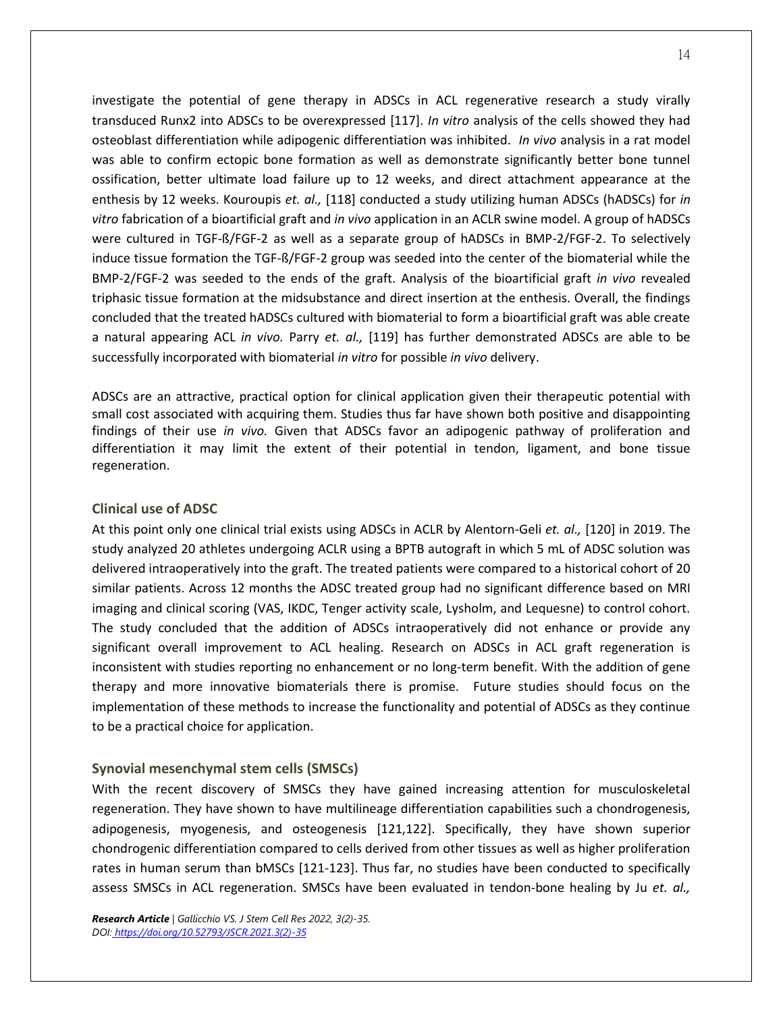investigate the potential of gene therapy in ADSCs in ACL regenerative research a study virally transduced Runx2 into ADSCs to be overexpressed [117]. *In vitro* analysis of the cells showed they had osteoblast differentiation while adipogenic differentiation was inhibited. *In vivo* analysis in a rat model was able to confirm ectopic bone formation as well as demonstrate significantly better bone tunnel ossification, better ultimate load failure up to 12 weeks, and direct attachment appearance at the enthesis by 12 weeks. Kouroupis *et. al.,* [118] conducted a study utilizing human ADSCs (hADSCs) for *in vitro* fabrication of a bioartificial graft and *in vivo* application in an ACLR swine model. A group of hADSCs were cultured in TGF-ß/FGF-2 as well as a separate group of hADSCs in BMP-2/FGF-2. To selectively induce tissue formation the TGF-ß/FGF-2 group was seeded into the center of the biomaterial while the BMP-2/FGF-2 was seeded to the ends of the graft. Analysis of the bioartificial graft *in vivo* revealed triphasic tissue formation at the midsubstance and direct insertion at the enthesis. Overall, the findings concluded that the treated hADSCs cultured with biomaterial to form a bioartificial graft was able create a natural appearing ACL *in vivo.* Parry *et. al.,* [119] has further demonstrated ADSCs are able to be successfully incorporated with biomaterial *in vitro* for possible *in vivo* delivery.

ADSCs are an attractive, practical option for clinical application given their therapeutic potential with small cost associated with acquiring them. Studies thus far have shown both positive and disappointing findings of their use *in vivo.* Given that ADSCs favor an adipogenic pathway of proliferation and differentiation it may limit the extent of their potential in tendon, ligament, and bone tissue regeneration.

## **Clinical use of ADSC**

At this point only one clinical trial exists using ADSCs in ACLR by Alentorn-Geli *et. al.,* [120] in 2019. The study analyzed 20 athletes undergoing ACLR using a BPTB autograft in which 5 mL of ADSC solution was delivered intraoperatively into the graft. The treated patients were compared to a historical cohort of 20 similar patients. Across 12 months the ADSC treated group had no significant difference based on MRI imaging and clinical scoring (VAS, IKDC, Tenger activity scale, Lysholm, and Lequesne) to control cohort. The study concluded that the addition of ADSCs intraoperatively did not enhance or provide any significant overall improvement to ACL healing. Research on ADSCs in ACL graft regeneration is inconsistent with studies reporting no enhancement or no long-term benefit. With the addition of gene therapy and more innovative biomaterials there is promise. Future studies should focus on the implementation of these methods to increase the functionality and potential of ADSCs as they continue to be a practical choice for application.

## **Synovial mesenchymal stem cells (SMSCs)**

With the recent discovery of SMSCs they have gained increasing attention for musculoskeletal regeneration. They have shown to have multilineage differentiation capabilities such a chondrogenesis, adipogenesis, myogenesis, and osteogenesis [121,122]. Specifically, they have shown superior chondrogenic differentiation compared to cells derived from other tissues as well as higher proliferation rates in human serum than bMSCs [121-123]. Thus far, no studies have been conducted to specifically assess SMSCs in ACL regeneration. SMSCs have been evaluated in tendon-bone healing by Ju *et. al.,*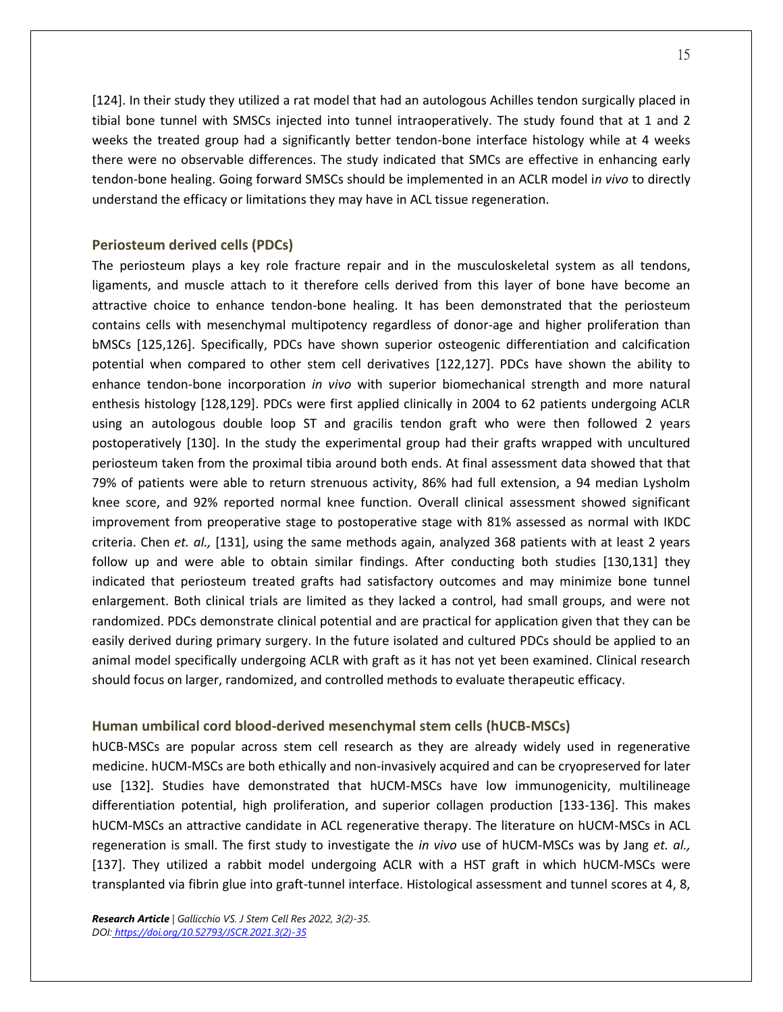[124]. In their study they utilized a rat model that had an autologous Achilles tendon surgically placed in tibial bone tunnel with SMSCs injected into tunnel intraoperatively. The study found that at 1 and 2 weeks the treated group had a significantly better tendon-bone interface histology while at 4 weeks there were no observable differences. The study indicated that SMCs are effective in enhancing early tendon-bone healing. Going forward SMSCs should be implemented in an ACLR model i*n vivo* to directly understand the efficacy or limitations they may have in ACL tissue regeneration.

#### **Periosteum derived cells (PDCs)**

The periosteum plays a key role fracture repair and in the musculoskeletal system as all tendons, ligaments, and muscle attach to it therefore cells derived from this layer of bone have become an attractive choice to enhance tendon-bone healing. It has been demonstrated that the periosteum contains cells with mesenchymal multipotency regardless of donor-age and higher proliferation than bMSCs [125,126]. Specifically, PDCs have shown superior osteogenic differentiation and calcification potential when compared to other stem cell derivatives [122,127]. PDCs have shown the ability to enhance tendon-bone incorporation *in vivo* with superior biomechanical strength and more natural enthesis histology [128,129]. PDCs were first applied clinically in 2004 to 62 patients undergoing ACLR using an autologous double loop ST and gracilis tendon graft who were then followed 2 years postoperatively [130]. In the study the experimental group had their grafts wrapped with uncultured periosteum taken from the proximal tibia around both ends. At final assessment data showed that that 79% of patients were able to return strenuous activity, 86% had full extension, a 94 median Lysholm knee score, and 92% reported normal knee function. Overall clinical assessment showed significant improvement from preoperative stage to postoperative stage with 81% assessed as normal with IKDC criteria. Chen *et. al.,* [131], using the same methods again, analyzed 368 patients with at least 2 years follow up and were able to obtain similar findings. After conducting both studies [130,131] they indicated that periosteum treated grafts had satisfactory outcomes and may minimize bone tunnel enlargement. Both clinical trials are limited as they lacked a control, had small groups, and were not randomized. PDCs demonstrate clinical potential and are practical for application given that they can be easily derived during primary surgery. In the future isolated and cultured PDCs should be applied to an animal model specifically undergoing ACLR with graft as it has not yet been examined. Clinical research should focus on larger, randomized, and controlled methods to evaluate therapeutic efficacy.

#### **Human umbilical cord blood-derived mesenchymal stem cells (hUCB-MSCs)**

hUCB-MSCs are popular across stem cell research as they are already widely used in regenerative medicine. hUCM-MSCs are both ethically and non-invasively acquired and can be cryopreserved for later use [132]. Studies have demonstrated that hUCM-MSCs have low immunogenicity, multilineage differentiation potential, high proliferation, and superior collagen production [133-136]. This makes hUCM-MSCs an attractive candidate in ACL regenerative therapy. The literature on hUCM-MSCs in ACL regeneration is small. The first study to investigate the *in vivo* use of hUCM-MSCs was by Jang *et. al.,* [137]. They utilized a rabbit model undergoing ACLR with a HST graft in which hUCM-MSCs were transplanted via fibrin glue into graft-tunnel interface. Histological assessment and tunnel scores at 4, 8,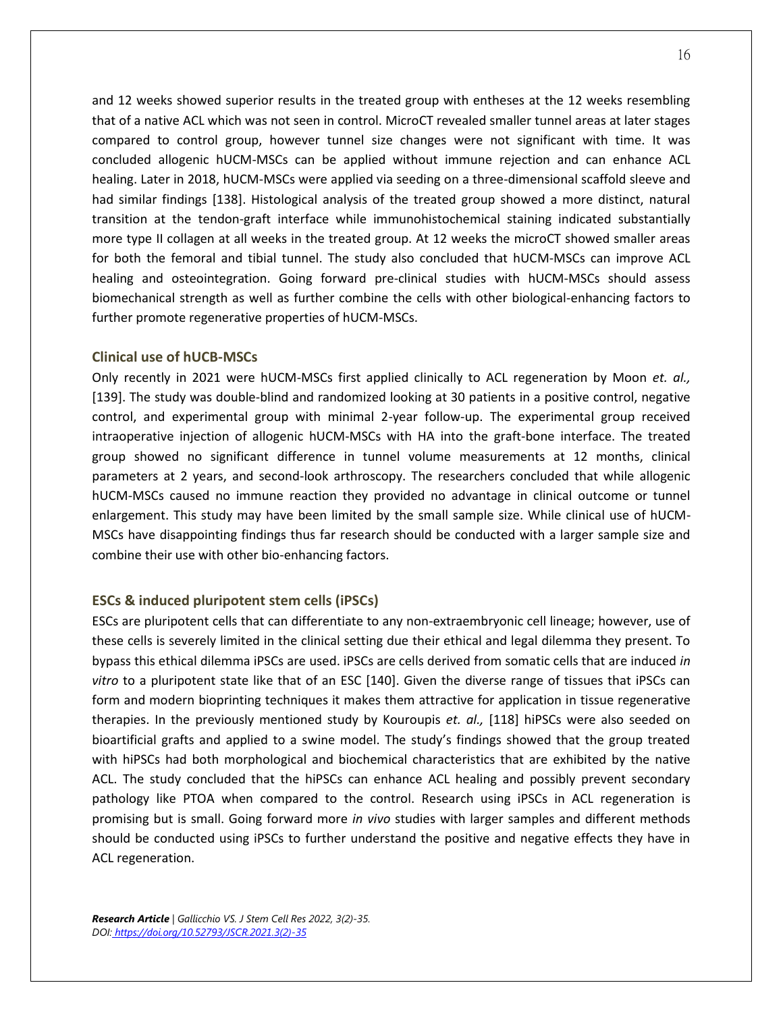and 12 weeks showed superior results in the treated group with entheses at the 12 weeks resembling that of a native ACL which was not seen in control. MicroCT revealed smaller tunnel areas at later stages compared to control group, however tunnel size changes were not significant with time. It was concluded allogenic hUCM-MSCs can be applied without immune rejection and can enhance ACL healing. Later in 2018, hUCM-MSCs were applied via seeding on a three-dimensional scaffold sleeve and had similar findings [138]. Histological analysis of the treated group showed a more distinct, natural transition at the tendon-graft interface while immunohistochemical staining indicated substantially more type II collagen at all weeks in the treated group. At 12 weeks the microCT showed smaller areas for both the femoral and tibial tunnel. The study also concluded that hUCM-MSCs can improve ACL healing and osteointegration. Going forward pre-clinical studies with hUCM-MSCs should assess biomechanical strength as well as further combine the cells with other biological-enhancing factors to further promote regenerative properties of hUCM-MSCs.

#### **Clinical use of hUCB-MSCs**

Only recently in 2021 were hUCM-MSCs first applied clinically to ACL regeneration by Moon *et. al.,* [139]. The study was double-blind and randomized looking at 30 patients in a positive control, negative control, and experimental group with minimal 2-year follow-up. The experimental group received intraoperative injection of allogenic hUCM-MSCs with HA into the graft-bone interface. The treated group showed no significant difference in tunnel volume measurements at 12 months, clinical parameters at 2 years, and second-look arthroscopy. The researchers concluded that while allogenic hUCM-MSCs caused no immune reaction they provided no advantage in clinical outcome or tunnel enlargement. This study may have been limited by the small sample size. While clinical use of hUCM-MSCs have disappointing findings thus far research should be conducted with a larger sample size and combine their use with other bio-enhancing factors.

## **ESCs & induced pluripotent stem cells (iPSCs)**

ESCs are pluripotent cells that can differentiate to any non-extraembryonic cell lineage; however, use of these cells is severely limited in the clinical setting due their ethical and legal dilemma they present. To bypass this ethical dilemma iPSCs are used. iPSCs are cells derived from somatic cells that are induced *in vitro* to a pluripotent state like that of an ESC [140]. Given the diverse range of tissues that iPSCs can form and modern bioprinting techniques it makes them attractive for application in tissue regenerative therapies. In the previously mentioned study by Kouroupis *et. al.,* [118] hiPSCs were also seeded on bioartificial grafts and applied to a swine model. The study's findings showed that the group treated with hiPSCs had both morphological and biochemical characteristics that are exhibited by the native ACL. The study concluded that the hiPSCs can enhance ACL healing and possibly prevent secondary pathology like PTOA when compared to the control. Research using iPSCs in ACL regeneration is promising but is small. Going forward more *in vivo* studies with larger samples and different methods should be conducted using iPSCs to further understand the positive and negative effects they have in ACL regeneration.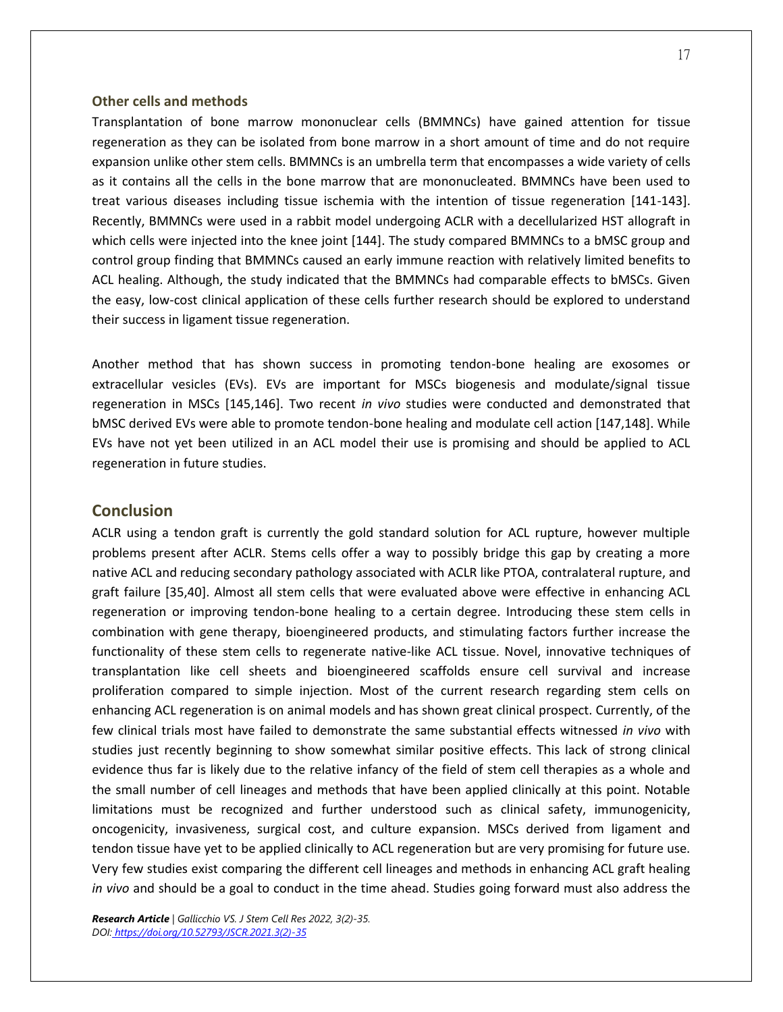#### **Other cells and methods**

Transplantation of bone marrow mononuclear cells (BMMNCs) have gained attention for tissue regeneration as they can be isolated from bone marrow in a short amount of time and do not require expansion unlike other stem cells. BMMNCs is an umbrella term that encompasses a wide variety of cells as it contains all the cells in the bone marrow that are mononucleated. BMMNCs have been used to treat various diseases including tissue ischemia with the intention of tissue regeneration [141-143]. Recently, BMMNCs were used in a rabbit model undergoing ACLR with a decellularized HST allograft in which cells were injected into the knee joint [144]. The study compared BMMNCs to a bMSC group and control group finding that BMMNCs caused an early immune reaction with relatively limited benefits to ACL healing. Although, the study indicated that the BMMNCs had comparable effects to bMSCs. Given the easy, low-cost clinical application of these cells further research should be explored to understand their success in ligament tissue regeneration.

Another method that has shown success in promoting tendon-bone healing are exosomes or extracellular vesicles (EVs). EVs are important for MSCs biogenesis and modulate/signal tissue regeneration in MSCs [145,146]. Two recent *in vivo* studies were conducted and demonstrated that bMSC derived EVs were able to promote tendon-bone healing and modulate cell action [147,148]. While EVs have not yet been utilized in an ACL model their use is promising and should be applied to ACL regeneration in future studies.

## **Conclusion**

ACLR using a tendon graft is currently the gold standard solution for ACL rupture, however multiple problems present after ACLR. Stems cells offer a way to possibly bridge this gap by creating a more native ACL and reducing secondary pathology associated with ACLR like PTOA, contralateral rupture, and graft failure [35,40]. Almost all stem cells that were evaluated above were effective in enhancing ACL regeneration or improving tendon-bone healing to a certain degree. Introducing these stem cells in combination with gene therapy, bioengineered products, and stimulating factors further increase the functionality of these stem cells to regenerate native-like ACL tissue. Novel, innovative techniques of transplantation like cell sheets and bioengineered scaffolds ensure cell survival and increase proliferation compared to simple injection. Most of the current research regarding stem cells on enhancing ACL regeneration is on animal models and has shown great clinical prospect. Currently, of the few clinical trials most have failed to demonstrate the same substantial effects witnessed *in vivo* with studies just recently beginning to show somewhat similar positive effects. This lack of strong clinical evidence thus far is likely due to the relative infancy of the field of stem cell therapies as a whole and the small number of cell lineages and methods that have been applied clinically at this point. Notable limitations must be recognized and further understood such as clinical safety, immunogenicity, oncogenicity, invasiveness, surgical cost, and culture expansion. MSCs derived from ligament and tendon tissue have yet to be applied clinically to ACL regeneration but are very promising for future use. Very few studies exist comparing the different cell lineages and methods in enhancing ACL graft healing *in vivo* and should be a goal to conduct in the time ahead. Studies going forward must also address the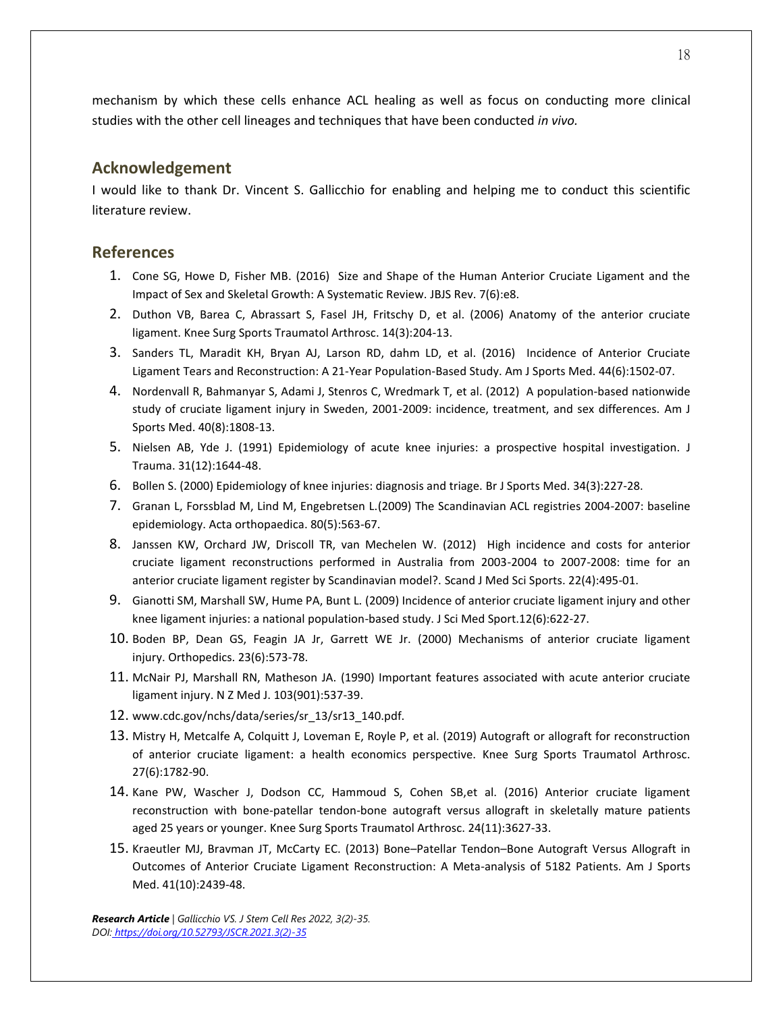mechanism by which these cells enhance ACL healing as well as focus on conducting more clinical studies with the other cell lineages and techniques that have been conducted *in vivo.*

## **Acknowledgement**

I would like to thank Dr. Vincent S. Gallicchio for enabling and helping me to conduct this scientific literature review.

## **References**

- 1. Cone SG, Howe D, Fisher MB. (2016) Size and Shape of the Human Anterior Cruciate Ligament and the Impact of Sex and Skeletal Growth: A Systematic Review. JBJS Rev. 7(6):e8.
- 2. Duthon VB, Barea C, Abrassart S, Fasel JH, Fritschy D, et al. (2006) Anatomy of the anterior cruciate ligament. Knee Surg Sports Traumatol Arthrosc. 14(3):204-13.
- 3. Sanders TL, Maradit KH, Bryan AJ, Larson RD, dahm LD, et al. (2016) Incidence of Anterior Cruciate Ligament Tears and Reconstruction: A 21-Year Population-Based Study. Am J Sports Med. 44(6):1502-07.
- 4. Nordenvall R, Bahmanyar S, Adami J, Stenros C, Wredmark T, et al. (2012) A population-based nationwide study of cruciate ligament injury in Sweden, 2001-2009: incidence, treatment, and sex differences. Am J Sports Med. 40(8):1808-13.
- 5. Nielsen AB, Yde J. (1991) Epidemiology of acute knee injuries: a prospective hospital investigation. J Trauma. 31(12):1644-48.
- 6. Bollen S. (2000) Epidemiology of knee injuries: diagnosis and triage. Br J Sports Med. 34(3):227-28.
- 7. Granan L, Forssblad M, Lind M, Engebretsen L.(2009) The Scandinavian ACL registries 2004-2007: baseline epidemiology. Acta orthopaedica. 80(5):563-67.
- 8. Janssen KW, Orchard JW, Driscoll TR, van Mechelen W. (2012) High incidence and costs for anterior cruciate ligament reconstructions performed in Australia from 2003-2004 to 2007-2008: time for an anterior cruciate ligament register by Scandinavian model?. Scand J Med Sci Sports. 22(4):495-01.
- 9. Gianotti SM, Marshall SW, Hume PA, Bunt L. (2009) Incidence of anterior cruciate ligament injury and other knee ligament injuries: a national population-based study. J Sci Med Sport.12(6):622-27.
- 10. Boden BP, Dean GS, Feagin JA Jr, Garrett WE Jr. (2000) Mechanisms of anterior cruciate ligament injury. Orthopedics. 23(6):573-78.
- 11. McNair PJ, Marshall RN, Matheson JA. (1990) Important features associated with acute anterior cruciate ligament injury. N Z Med J. 103(901):537-39.
- 12. www.cdc.gov/nchs/data/series/sr\_13/sr13\_140.pdf.
- 13. Mistry H, Metcalfe A, Colquitt J, Loveman E, Royle P, et al. (2019) Autograft or allograft for reconstruction of anterior cruciate ligament: a health economics perspective. Knee Surg Sports Traumatol Arthrosc. 27(6):1782-90.
- 14. Kane PW, Wascher J, Dodson CC, Hammoud S, Cohen SB,et al. (2016) Anterior cruciate ligament reconstruction with bone-patellar tendon-bone autograft versus allograft in skeletally mature patients aged 25 years or younger. Knee Surg Sports Traumatol Arthrosc. 24(11):3627-33.
- 15. Kraeutler MJ, Bravman JT, McCarty EC. (2013) Bone–Patellar Tendon–Bone Autograft Versus Allograft in Outcomes of Anterior Cruciate Ligament Reconstruction: A Meta-analysis of 5182 Patients. Am J Sports Med. 41(10):2439-48.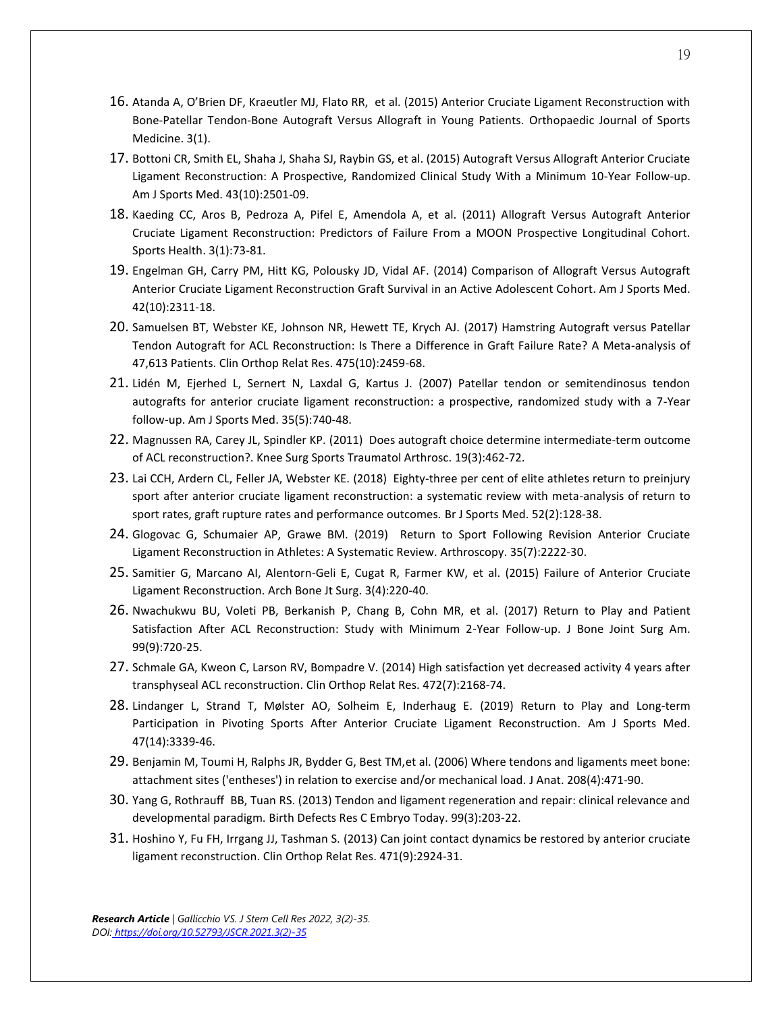- 16. Atanda A, O'Brien DF, Kraeutler MJ, Flato RR, et al. (2015) Anterior Cruciate Ligament Reconstruction with Bone-Patellar Tendon-Bone Autograft Versus Allograft in Young Patients. Orthopaedic Journal of Sports Medicine. 3(1).
- 17. Bottoni CR, Smith EL, Shaha J, Shaha SJ, Raybin GS, et al. (2015) Autograft Versus Allograft Anterior Cruciate Ligament Reconstruction: A Prospective, Randomized Clinical Study With a Minimum 10-Year Follow-up. Am J Sports Med. 43(10):2501-09.
- 18. Kaeding CC, Aros B, Pedroza A, Pifel E, Amendola A, et al. (2011) Allograft Versus Autograft Anterior Cruciate Ligament Reconstruction: Predictors of Failure From a MOON Prospective Longitudinal Cohort. Sports Health. 3(1):73-81.
- 19. Engelman GH, Carry PM, Hitt KG, Polousky JD, Vidal AF. (2014) Comparison of Allograft Versus Autograft Anterior Cruciate Ligament Reconstruction Graft Survival in an Active Adolescent Cohort. Am J Sports Med. 42(10):2311-18.
- 20. Samuelsen BT, Webster KE, Johnson NR, Hewett TE, Krych AJ. (2017) Hamstring Autograft versus Patellar Tendon Autograft for ACL Reconstruction: Is There a Difference in Graft Failure Rate? A Meta-analysis of 47,613 Patients. Clin Orthop Relat Res. 475(10):2459-68.
- 21. Lidén M, Ejerhed L, Sernert N, Laxdal G, Kartus J. (2007) Patellar tendon or semitendinosus tendon autografts for anterior cruciate ligament reconstruction: a prospective, randomized study with a 7-Year follow-up. Am J Sports Med. 35(5):740-48.
- 22. Magnussen RA, Carey JL, Spindler KP. (2011) Does autograft choice determine intermediate-term outcome of ACL reconstruction?. Knee Surg Sports Traumatol Arthrosc. 19(3):462-72.
- 23. Lai CCH, Ardern CL, Feller JA, Webster KE. (2018) Eighty-three per cent of elite athletes return to preinjury sport after anterior cruciate ligament reconstruction: a systematic review with meta-analysis of return to sport rates, graft rupture rates and performance outcomes. Br J Sports Med. 52(2):128-38.
- 24. Glogovac G, Schumaier AP, Grawe BM. (2019) Return to Sport Following Revision Anterior Cruciate Ligament Reconstruction in Athletes: A Systematic Review. Arthroscopy. 35(7):2222-30.
- 25. Samitier G, Marcano AI, Alentorn-Geli E, Cugat R, Farmer KW, et al. (2015) Failure of Anterior Cruciate Ligament Reconstruction. Arch Bone Jt Surg. 3(4):220-40.
- 26. Nwachukwu BU, Voleti PB, Berkanish P, Chang B, Cohn MR, et al. (2017) Return to Play and Patient Satisfaction After ACL Reconstruction: Study with Minimum 2-Year Follow-up. J Bone Joint Surg Am. 99(9):720-25.
- 27. Schmale GA, Kweon C, Larson RV, Bompadre V. (2014) High satisfaction yet decreased activity 4 years after transphyseal ACL reconstruction. Clin Orthop Relat Res. 472(7):2168-74.
- 28. Lindanger L, Strand T, Mølster AO, Solheim E, Inderhaug E. (2019) Return to Play and Long-term Participation in Pivoting Sports After Anterior Cruciate Ligament Reconstruction. Am J Sports Med. 47(14):3339-46.
- 29. Benjamin M, Toumi H, Ralphs JR, Bydder G, Best TM,et al. (2006) Where tendons and ligaments meet bone: attachment sites ('entheses') in relation to exercise and/or mechanical load. J Anat. 208(4):471-90.
- 30. Yang G, Rothrauff BB, Tuan RS. (2013) Tendon and ligament regeneration and repair: clinical relevance and developmental paradigm. Birth Defects Res C Embryo Today. 99(3):203-22.
- 31. Hoshino Y, Fu FH, Irrgang JJ, Tashman S. (2013) Can joint contact dynamics be restored by anterior cruciate ligament reconstruction. Clin Orthop Relat Res. 471(9):2924-31.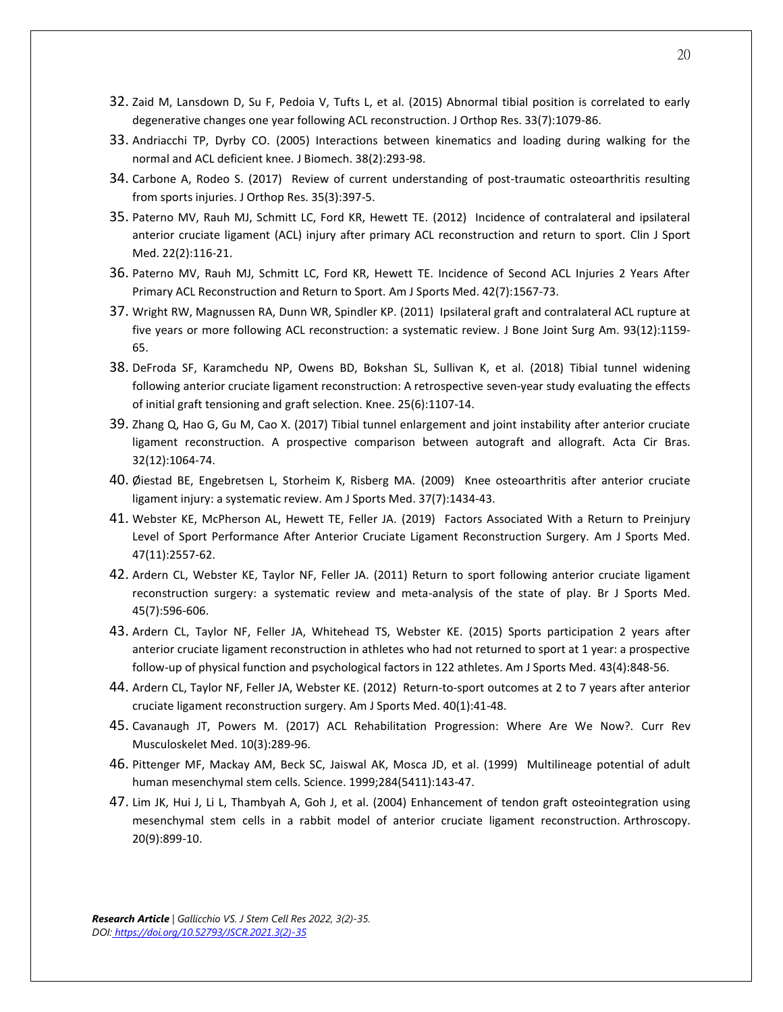- 32. Zaid M, Lansdown D, Su F, Pedoia V, Tufts L, et al. (2015) Abnormal tibial position is correlated to early degenerative changes one year following ACL reconstruction. J Orthop Res. 33(7):1079-86.
- 33. Andriacchi TP, Dyrby CO. (2005) Interactions between kinematics and loading during walking for the normal and ACL deficient knee. J Biomech. 38(2):293-98.
- 34. Carbone A, Rodeo S. (2017) Review of current understanding of post-traumatic osteoarthritis resulting from sports injuries. J Orthop Res. 35(3):397-5.
- 35. Paterno MV, Rauh MJ, Schmitt LC, Ford KR, Hewett TE. (2012) Incidence of contralateral and ipsilateral anterior cruciate ligament (ACL) injury after primary ACL reconstruction and return to sport. Clin J Sport Med. 22(2):116-21.
- 36. Paterno MV, Rauh MJ, Schmitt LC, Ford KR, Hewett TE. Incidence of Second ACL Injuries 2 Years After Primary ACL Reconstruction and Return to Sport. Am J Sports Med. 42(7):1567-73.
- 37. Wright RW, Magnussen RA, Dunn WR, Spindler KP. (2011) Ipsilateral graft and contralateral ACL rupture at five years or more following ACL reconstruction: a systematic review. J Bone Joint Surg Am. 93(12):1159- 65.
- 38. DeFroda SF, Karamchedu NP, Owens BD, Bokshan SL, Sullivan K, et al. (2018) Tibial tunnel widening following anterior cruciate ligament reconstruction: A retrospective seven-year study evaluating the effects of initial graft tensioning and graft selection. Knee. 25(6):1107-14.
- 39. Zhang Q, Hao G, Gu M, Cao X. (2017) Tibial tunnel enlargement and joint instability after anterior cruciate ligament reconstruction. A prospective comparison between autograft and allograft. Acta Cir Bras. 32(12):1064-74.
- 40. Øiestad BE, Engebretsen L, Storheim K, Risberg MA. (2009) Knee osteoarthritis after anterior cruciate ligament injury: a systematic review. Am J Sports Med. 37(7):1434-43.
- 41. Webster KE, McPherson AL, Hewett TE, Feller JA. (2019) Factors Associated With a Return to Preinjury Level of Sport Performance After Anterior Cruciate Ligament Reconstruction Surgery. Am J Sports Med. 47(11):2557-62.
- 42. Ardern CL, Webster KE, Taylor NF, Feller JA. (2011) Return to sport following anterior cruciate ligament reconstruction surgery: a systematic review and meta-analysis of the state of play. Br J Sports Med. 45(7):596-606.
- 43. Ardern CL, Taylor NF, Feller JA, Whitehead TS, Webster KE. (2015) Sports participation 2 years after anterior cruciate ligament reconstruction in athletes who had not returned to sport at 1 year: a prospective follow-up of physical function and psychological factors in 122 athletes. Am J Sports Med. 43(4):848-56.
- 44. Ardern CL, Taylor NF, Feller JA, Webster KE. (2012) Return-to-sport outcomes at 2 to 7 years after anterior cruciate ligament reconstruction surgery. Am J Sports Med. 40(1):41-48.
- 45. Cavanaugh JT, Powers M. (2017) ACL Rehabilitation Progression: Where Are We Now?. Curr Rev Musculoskelet Med. 10(3):289-96.
- 46. Pittenger MF, Mackay AM, Beck SC, Jaiswal AK, Mosca JD, et al. (1999) Multilineage potential of adult human mesenchymal stem cells. Science. 1999;284(5411):143-47.
- 47. Lim JK, Hui J, Li L, Thambyah A, Goh J, et al. (2004) Enhancement of tendon graft osteointegration using mesenchymal stem cells in a rabbit model of anterior cruciate ligament reconstruction. Arthroscopy. 20(9):899-10.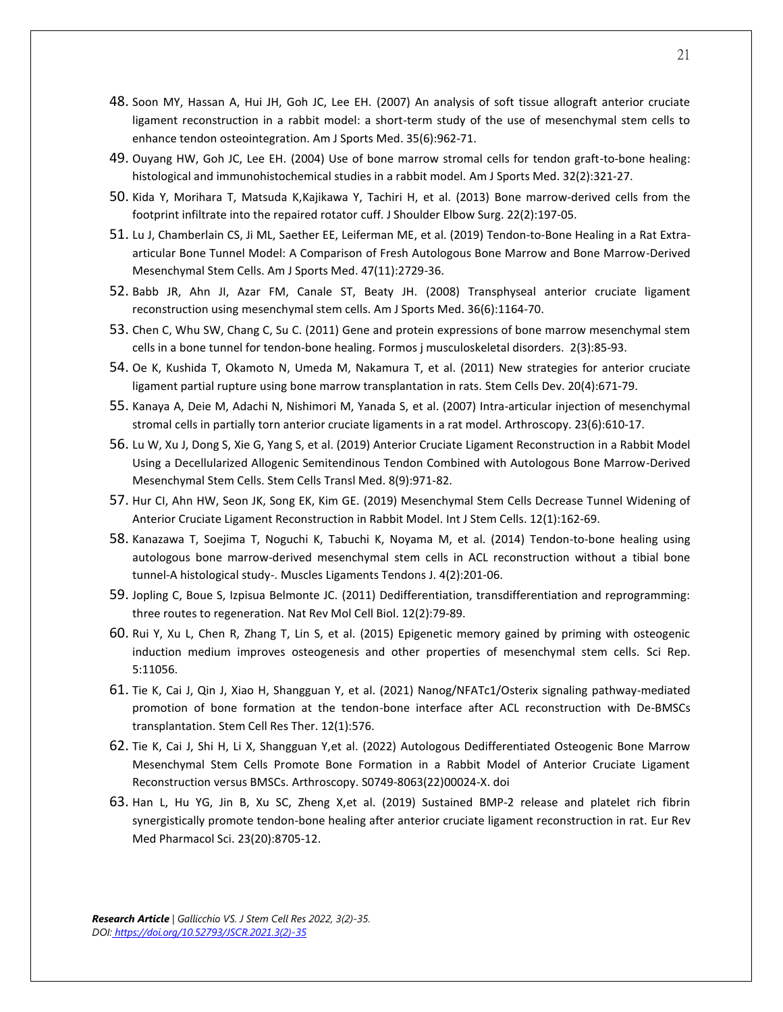- 48. Soon MY, Hassan A, Hui JH, Goh JC, Lee EH. (2007) An analysis of soft tissue allograft anterior cruciate ligament reconstruction in a rabbit model: a short-term study of the use of mesenchymal stem cells to enhance tendon osteointegration. Am J Sports Med. 35(6):962-71.
- 49. Ouyang HW, Goh JC, Lee EH. (2004) Use of bone marrow stromal cells for tendon graft-to-bone healing: histological and immunohistochemical studies in a rabbit model. Am J Sports Med. 32(2):321-27.
- 50. Kida Y, Morihara T, Matsuda K,Kajikawa Y, Tachiri H, et al. (2013) Bone marrow-derived cells from the footprint infiltrate into the repaired rotator cuff. J Shoulder Elbow Surg. 22(2):197-05.
- 51. Lu J, Chamberlain CS, Ji ML, Saether EE, Leiferman ME, et al. (2019) Tendon-to-Bone Healing in a Rat Extraarticular Bone Tunnel Model: A Comparison of Fresh Autologous Bone Marrow and Bone Marrow-Derived Mesenchymal Stem Cells. Am J Sports Med. 47(11):2729-36.
- 52. Babb JR, Ahn JI, Azar FM, Canale ST, Beaty JH. (2008) Transphyseal anterior cruciate ligament reconstruction using mesenchymal stem cells. Am J Sports Med. 36(6):1164-70.
- 53. Chen C, Whu SW, Chang C, Su C. (2011) Gene and protein expressions of bone marrow mesenchymal stem cells in a bone tunnel for tendon-bone healing. Formos j musculoskeletal disorders. 2(3):85-93.
- 54. Oe K, Kushida T, Okamoto N, Umeda M, Nakamura T, et al. (2011) New strategies for anterior cruciate ligament partial rupture using bone marrow transplantation in rats. Stem Cells Dev. 20(4):671-79.
- 55. Kanaya A, Deie M, Adachi N, Nishimori M, Yanada S, et al. (2007) Intra-articular injection of mesenchymal stromal cells in partially torn anterior cruciate ligaments in a rat model. Arthroscopy. 23(6):610-17.
- 56. Lu W, Xu J, Dong S, Xie G, Yang S, et al. (2019) Anterior Cruciate Ligament Reconstruction in a Rabbit Model Using a Decellularized Allogenic Semitendinous Tendon Combined with Autologous Bone Marrow-Derived Mesenchymal Stem Cells. Stem Cells Transl Med. 8(9):971-82.
- 57. Hur CI, Ahn HW, Seon JK, Song EK, Kim GE. (2019) Mesenchymal Stem Cells Decrease Tunnel Widening of Anterior Cruciate Ligament Reconstruction in Rabbit Model. Int J Stem Cells. 12(1):162-69.
- 58. Kanazawa T, Soejima T, Noguchi K, Tabuchi K, Noyama M, et al. (2014) Tendon-to-bone healing using autologous bone marrow-derived mesenchymal stem cells in ACL reconstruction without a tibial bone tunnel-A histological study-. Muscles Ligaments Tendons J. 4(2):201-06.
- 59. Jopling C, Boue S, Izpisua Belmonte JC. (2011) Dedifferentiation, transdifferentiation and reprogramming: three routes to regeneration. Nat Rev Mol Cell Biol. 12(2):79-89.
- 60. Rui Y, Xu L, Chen R, Zhang T, Lin S, et al. (2015) Epigenetic memory gained by priming with osteogenic induction medium improves osteogenesis and other properties of mesenchymal stem cells. Sci Rep. 5:11056.
- 61. Tie K, Cai J, Qin J, Xiao H, Shangguan Y, et al. (2021) Nanog/NFATc1/Osterix signaling pathway-mediated promotion of bone formation at the tendon-bone interface after ACL reconstruction with De-BMSCs transplantation. Stem Cell Res Ther. 12(1):576.
- 62. Tie K, Cai J, Shi H, Li X, Shangguan Y,et al. (2022) Autologous Dedifferentiated Osteogenic Bone Marrow Mesenchymal Stem Cells Promote Bone Formation in a Rabbit Model of Anterior Cruciate Ligament Reconstruction versus BMSCs. Arthroscopy. S0749-8063(22)00024-X. doi
- 63. Han L, Hu YG, Jin B, Xu SC, Zheng X,et al. (2019) Sustained BMP-2 release and platelet rich fibrin synergistically promote tendon-bone healing after anterior cruciate ligament reconstruction in rat. Eur Rev Med Pharmacol Sci. 23(20):8705-12.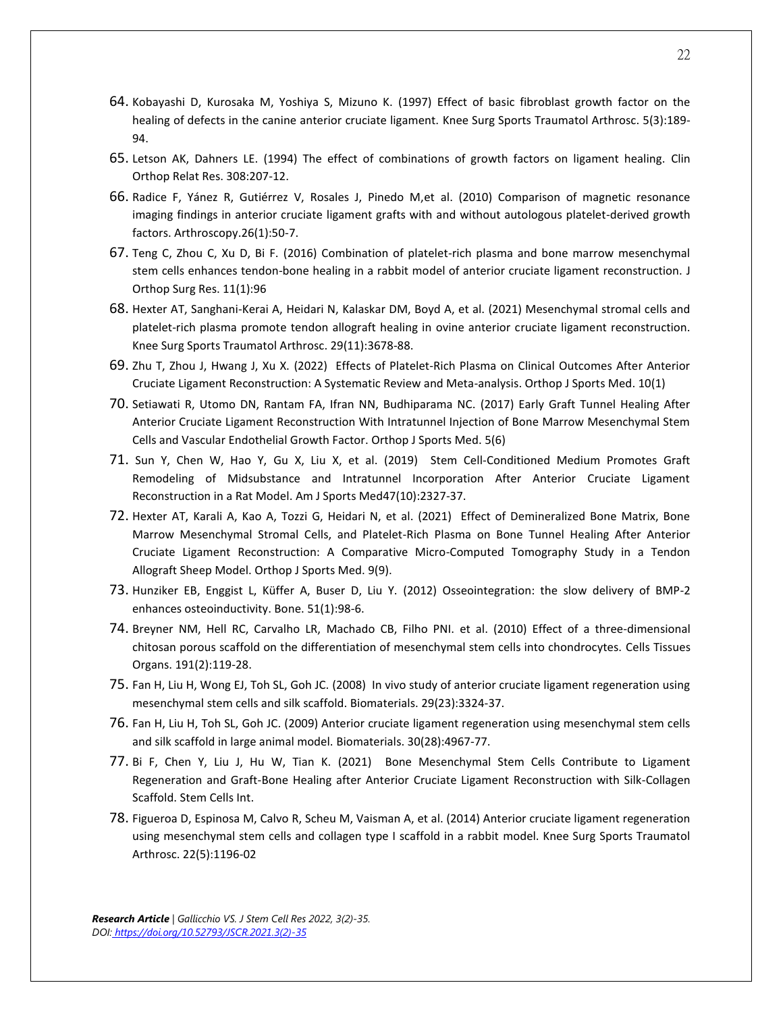- 64. Kobayashi D, Kurosaka M, Yoshiya S, Mizuno K. (1997) Effect of basic fibroblast growth factor on the healing of defects in the canine anterior cruciate ligament. Knee Surg Sports Traumatol Arthrosc. 5(3):189- 94.
- 65. Letson AK, Dahners LE. (1994) The effect of combinations of growth factors on ligament healing. Clin Orthop Relat Res. 308:207-12.
- 66. Radice F, Yánez R, Gutiérrez V, Rosales J, Pinedo M,et al. (2010) Comparison of magnetic resonance imaging findings in anterior cruciate ligament grafts with and without autologous platelet-derived growth factors. Arthroscopy.26(1):50-7.
- 67. Teng C, Zhou C, Xu D, Bi F. (2016) Combination of platelet-rich plasma and bone marrow mesenchymal stem cells enhances tendon-bone healing in a rabbit model of anterior cruciate ligament reconstruction. J Orthop Surg Res. 11(1):96
- 68. Hexter AT, Sanghani-Kerai A, Heidari N, Kalaskar DM, Boyd A, et al. (2021) Mesenchymal stromal cells and platelet-rich plasma promote tendon allograft healing in ovine anterior cruciate ligament reconstruction. Knee Surg Sports Traumatol Arthrosc. 29(11):3678-88.
- 69. Zhu T, Zhou J, Hwang J, Xu X. (2022) Effects of Platelet-Rich Plasma on Clinical Outcomes After Anterior Cruciate Ligament Reconstruction: A Systematic Review and Meta-analysis. Orthop J Sports Med. 10(1)
- 70. Setiawati R, Utomo DN, Rantam FA, Ifran NN, Budhiparama NC. (2017) Early Graft Tunnel Healing After Anterior Cruciate Ligament Reconstruction With Intratunnel Injection of Bone Marrow Mesenchymal Stem Cells and Vascular Endothelial Growth Factor. Orthop J Sports Med. 5(6)
- 71. Sun Y, Chen W, Hao Y, Gu X, Liu X, et al. (2019) Stem Cell-Conditioned Medium Promotes Graft Remodeling of Midsubstance and Intratunnel Incorporation After Anterior Cruciate Ligament Reconstruction in a Rat Model. Am J Sports Med47(10):2327-37.
- 72. Hexter AT, Karali A, Kao A, Tozzi G, Heidari N, et al. (2021) Effect of Demineralized Bone Matrix, Bone Marrow Mesenchymal Stromal Cells, and Platelet-Rich Plasma on Bone Tunnel Healing After Anterior Cruciate Ligament Reconstruction: A Comparative Micro-Computed Tomography Study in a Tendon Allograft Sheep Model. Orthop J Sports Med. 9(9).
- 73. Hunziker EB, Enggist L, Küffer A, Buser D, Liu Y. (2012) Osseointegration: the slow delivery of BMP-2 enhances osteoinductivity. Bone. 51(1):98-6.
- 74. Breyner NM, Hell RC, Carvalho LR, Machado CB, Filho PNI. et al. (2010) Effect of a three-dimensional chitosan porous scaffold on the differentiation of mesenchymal stem cells into chondrocytes. Cells Tissues Organs. 191(2):119-28.
- 75. Fan H, Liu H, Wong EJ, Toh SL, Goh JC. (2008) In vivo study of anterior cruciate ligament regeneration using mesenchymal stem cells and silk scaffold. Biomaterials. 29(23):3324-37.
- 76. Fan H, Liu H, Toh SL, Goh JC. (2009) Anterior cruciate ligament regeneration using mesenchymal stem cells and silk scaffold in large animal model. Biomaterials. 30(28):4967-77.
- 77. Bi F, Chen Y, Liu J, Hu W, Tian K. (2021) Bone Mesenchymal Stem Cells Contribute to Ligament Regeneration and Graft-Bone Healing after Anterior Cruciate Ligament Reconstruction with Silk-Collagen Scaffold. Stem Cells Int.
- 78. Figueroa D, Espinosa M, Calvo R, Scheu M, Vaisman A, et al. (2014) Anterior cruciate ligament regeneration using mesenchymal stem cells and collagen type I scaffold in a rabbit model. Knee Surg Sports Traumatol Arthrosc. 22(5):1196-02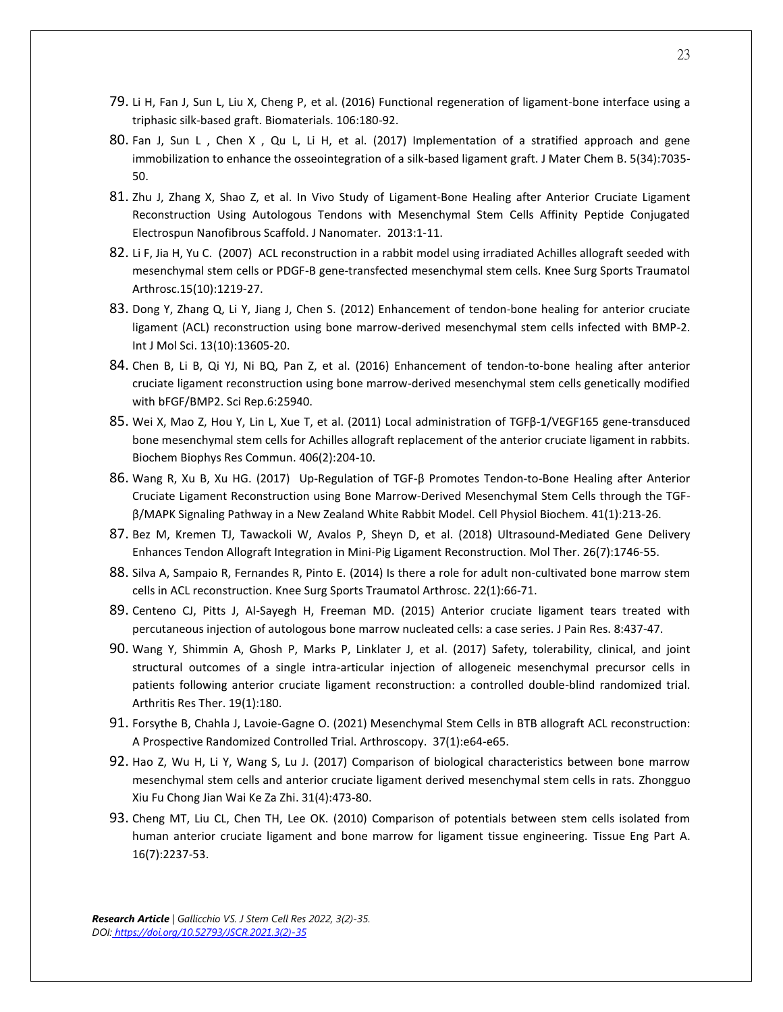- 79. Li H, Fan J, Sun L, Liu X, Cheng P, et al. (2016) Functional regeneration of ligament-bone interface using a triphasic silk-based graft. Biomaterials. 106:180-92.
- 80. Fan J, Sun L , Chen X , Qu L, Li H, et al. (2017) Implementation of a stratified approach and gene immobilization to enhance the osseointegration of a silk-based ligament graft. J Mater Chem B. 5(34):7035- 50.
- 81. Zhu J, Zhang X, Shao Z, et al. In Vivo Study of Ligament-Bone Healing after Anterior Cruciate Ligament Reconstruction Using Autologous Tendons with Mesenchymal Stem Cells Affinity Peptide Conjugated Electrospun Nanofibrous Scaffold. J Nanomater. 2013:1-11.
- 82. Li F, Jia H, Yu C. (2007) ACL reconstruction in a rabbit model using irradiated Achilles allograft seeded with mesenchymal stem cells or PDGF-B gene-transfected mesenchymal stem cells. Knee Surg Sports Traumatol Arthrosc.15(10):1219-27.
- 83. Dong Y, Zhang Q, Li Y, Jiang J, Chen S. (2012) Enhancement of tendon-bone healing for anterior cruciate ligament (ACL) reconstruction using bone marrow-derived mesenchymal stem cells infected with BMP-2. Int J Mol Sci. 13(10):13605-20.
- 84. Chen B, Li B, Qi YJ, Ni BQ, Pan Z, et al. (2016) Enhancement of tendon-to-bone healing after anterior cruciate ligament reconstruction using bone marrow-derived mesenchymal stem cells genetically modified with bFGF/BMP2. Sci Rep.6:25940.
- 85. Wei X, Mao Z, Hou Y, Lin L, Xue T, et al. (2011) Local administration of TGFβ-1/VEGF165 gene-transduced bone mesenchymal stem cells for Achilles allograft replacement of the anterior cruciate ligament in rabbits. Biochem Biophys Res Commun. 406(2):204-10.
- 86. Wang R, Xu B, Xu HG. (2017) Up-Regulation of TGF-β Promotes Tendon-to-Bone Healing after Anterior Cruciate Ligament Reconstruction using Bone Marrow-Derived Mesenchymal Stem Cells through the TGFβ/MAPK Signaling Pathway in a New Zealand White Rabbit Model. Cell Physiol Biochem. 41(1):213-26.
- 87. Bez M, Kremen TJ, Tawackoli W, Avalos P, Sheyn D, et al. (2018) Ultrasound-Mediated Gene Delivery Enhances Tendon Allograft Integration in Mini-Pig Ligament Reconstruction. Mol Ther. 26(7):1746-55.
- 88. Silva A, Sampaio R, Fernandes R, Pinto E. (2014) Is there a role for adult non-cultivated bone marrow stem cells in ACL reconstruction. Knee Surg Sports Traumatol Arthrosc. 22(1):66-71.
- 89. Centeno CJ, Pitts J, Al-Sayegh H, Freeman MD. (2015) Anterior cruciate ligament tears treated with percutaneous injection of autologous bone marrow nucleated cells: a case series. J Pain Res. 8:437-47.
- 90. Wang Y, Shimmin A, Ghosh P, Marks P, Linklater J, et al. (2017) Safety, tolerability, clinical, and joint structural outcomes of a single intra-articular injection of allogeneic mesenchymal precursor cells in patients following anterior cruciate ligament reconstruction: a controlled double-blind randomized trial. Arthritis Res Ther. 19(1):180.
- 91. Forsythe B, Chahla J, Lavoie-Gagne O. (2021) Mesenchymal Stem Cells in BTB allograft ACL reconstruction: A Prospective Randomized Controlled Trial. Arthroscopy. 37(1):e64-e65.
- 92. Hao Z, Wu H, Li Y, Wang S, Lu J. (2017) Comparison of biological characteristics between bone marrow mesenchymal stem cells and anterior cruciate ligament derived mesenchymal stem cells in rats. Zhongguo Xiu Fu Chong Jian Wai Ke Za Zhi. 31(4):473-80.
- 93. Cheng MT, Liu CL, Chen TH, Lee OK. (2010) Comparison of potentials between stem cells isolated from human anterior cruciate ligament and bone marrow for ligament tissue engineering. Tissue Eng Part A. 16(7):2237-53.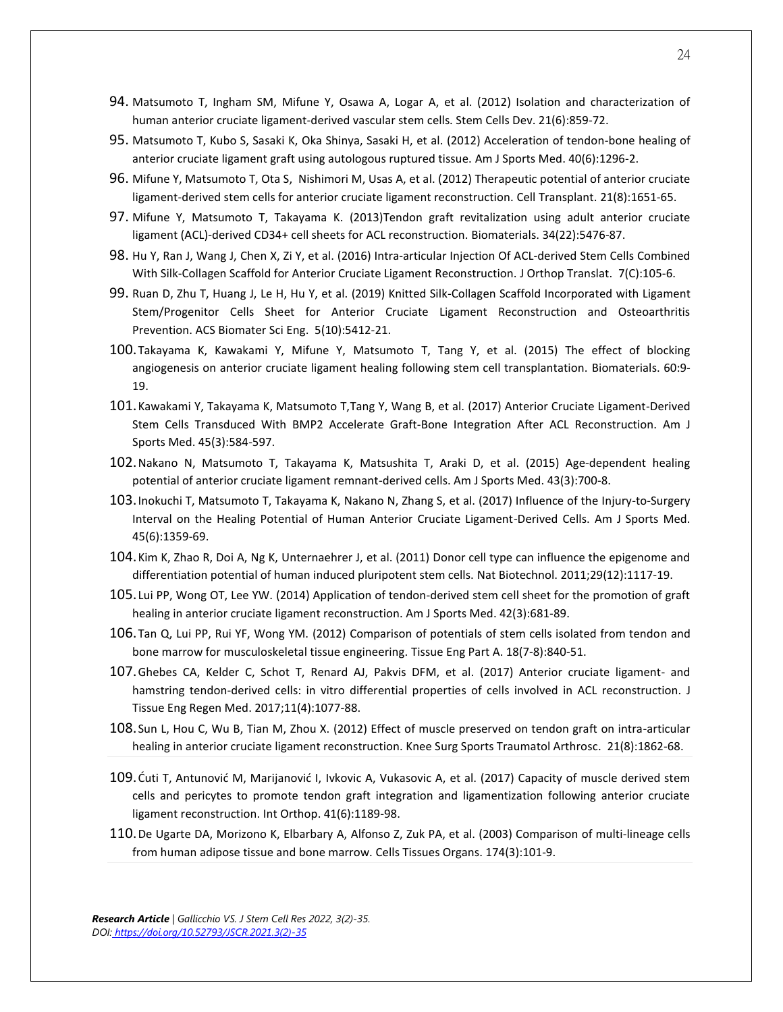- 94. Matsumoto T, Ingham SM, Mifune Y, Osawa A, Logar A, et al. (2012) Isolation and characterization of human anterior cruciate ligament-derived vascular stem cells. Stem Cells Dev. 21(6):859-72.
- 95. Matsumoto T, Kubo S, Sasaki K, Oka Shinya, Sasaki H, et al. (2012) Acceleration of tendon-bone healing of anterior cruciate ligament graft using autologous ruptured tissue. Am J Sports Med. 40(6):1296-2.
- 96. Mifune Y, Matsumoto T, Ota S, Nishimori M, Usas A, et al. (2012) Therapeutic potential of anterior cruciate ligament-derived stem cells for anterior cruciate ligament reconstruction. Cell Transplant. 21(8):1651-65.
- 97. Mifune Y, Matsumoto T, Takayama K. (2013)Tendon graft revitalization using adult anterior cruciate ligament (ACL)-derived CD34+ cell sheets for ACL reconstruction. Biomaterials. 34(22):5476-87.
- 98. Hu Y, Ran J, Wang J, Chen X, Zi Y, et al. (2016) Intra-articular Injection Of ACL-derived Stem Cells Combined With Silk-Collagen Scaffold for Anterior Cruciate Ligament Reconstruction. J Orthop Translat. 7(C):105-6.
- 99. Ruan D, Zhu T, Huang J, Le H, Hu Y, et al. (2019) Knitted Silk-Collagen Scaffold Incorporated with Ligament Stem/Progenitor Cells Sheet for Anterior Cruciate Ligament Reconstruction and Osteoarthritis Prevention. ACS Biomater Sci Eng. 5(10):5412-21.
- 100.Takayama K, Kawakami Y, Mifune Y, Matsumoto T, Tang Y, et al. (2015) The effect of blocking angiogenesis on anterior cruciate ligament healing following stem cell transplantation. Biomaterials. 60:9- 19.
- 101.Kawakami Y, Takayama K, Matsumoto T,Tang Y, Wang B, et al. (2017) Anterior Cruciate Ligament-Derived Stem Cells Transduced With BMP2 Accelerate Graft-Bone Integration After ACL Reconstruction. Am J Sports Med. 45(3):584-597.
- 102.Nakano N, Matsumoto T, Takayama K, Matsushita T, Araki D, et al. (2015) Age-dependent healing potential of anterior cruciate ligament remnant-derived cells. Am J Sports Med. 43(3):700-8.
- 103.Inokuchi T, Matsumoto T, Takayama K, Nakano N, Zhang S, et al. (2017) Influence of the Injury-to-Surgery Interval on the Healing Potential of Human Anterior Cruciate Ligament-Derived Cells. Am J Sports Med. 45(6):1359-69.
- 104.Kim K, Zhao R, Doi A, Ng K, Unternaehrer J, et al. (2011) Donor cell type can influence the epigenome and differentiation potential of human induced pluripotent stem cells. Nat Biotechnol. 2011;29(12):1117-19.
- 105. Lui PP, Wong OT, Lee YW. (2014) Application of tendon-derived stem cell sheet for the promotion of graft healing in anterior cruciate ligament reconstruction. Am J Sports Med. 42(3):681-89.
- 106.Tan Q, Lui PP, Rui YF, Wong YM. (2012) Comparison of potentials of stem cells isolated from tendon and bone marrow for musculoskeletal tissue engineering. Tissue Eng Part A. 18(7-8):840-51.
- 107.Ghebes CA, Kelder C, Schot T, Renard AJ, Pakvis DFM, et al. (2017) Anterior cruciate ligament- and hamstring tendon-derived cells: in vitro differential properties of cells involved in ACL reconstruction. J Tissue Eng Regen Med. 2017;11(4):1077-88.
- 108.Sun L, Hou C, Wu B, Tian M, Zhou X. (2012) Effect of muscle preserved on tendon graft on intra-articular healing in anterior cruciate ligament reconstruction. Knee Surg Sports Traumatol Arthrosc. 21(8):1862-68.
- 109.Ćuti T, Antunović M, Marijanović I, Ivkovic A, Vukasovic A, et al. (2017) Capacity of muscle derived stem cells and pericytes to promote tendon graft integration and ligamentization following anterior cruciate ligament reconstruction. Int Orthop. 41(6):1189-98.
- 110.De Ugarte DA, Morizono K, Elbarbary A, Alfonso Z, Zuk PA, et al. (2003) Comparison of multi-lineage cells from human adipose tissue and bone marrow. Cells Tissues Organs. 174(3):101-9.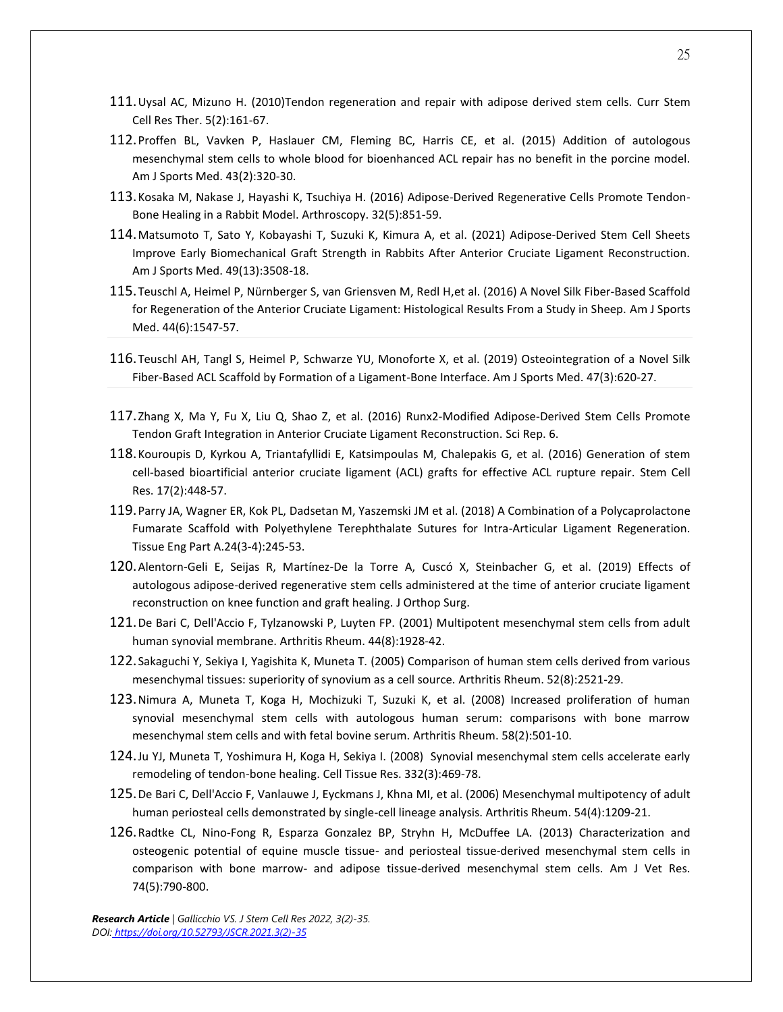- 111.Uysal AC, Mizuno H. (2010)Tendon regeneration and repair with adipose derived stem cells. Curr Stem Cell Res Ther. 5(2):161-67.
- 112.Proffen BL, Vavken P, Haslauer CM, Fleming BC, Harris CE, et al. (2015) Addition of autologous mesenchymal stem cells to whole blood for bioenhanced ACL repair has no benefit in the porcine model. Am J Sports Med. 43(2):320-30.
- 113.Kosaka M, Nakase J, Hayashi K, Tsuchiya H. (2016) Adipose-Derived Regenerative Cells Promote Tendon-Bone Healing in a Rabbit Model. Arthroscopy. 32(5):851-59.
- 114.Matsumoto T, Sato Y, Kobayashi T, Suzuki K, Kimura A, et al. (2021) Adipose-Derived Stem Cell Sheets Improve Early Biomechanical Graft Strength in Rabbits After Anterior Cruciate Ligament Reconstruction. Am J Sports Med. 49(13):3508-18.
- 115.Teuschl A, Heimel P, Nürnberger S, van Griensven M, Redl H,et al. (2016) A Novel Silk Fiber-Based Scaffold for Regeneration of the Anterior Cruciate Ligament: Histological Results From a Study in Sheep. Am J Sports Med. 44(6):1547-57.
- 116.Teuschl AH, Tangl S, Heimel P, Schwarze YU, Monoforte X, et al. (2019) Osteointegration of a Novel Silk Fiber-Based ACL Scaffold by Formation of a Ligament-Bone Interface. Am J Sports Med. 47(3):620-27.
- 117.Zhang X, Ma Y, Fu X, Liu Q, Shao Z, et al. (2016) Runx2-Modified Adipose-Derived Stem Cells Promote Tendon Graft Integration in Anterior Cruciate Ligament Reconstruction. Sci Rep. 6.
- 118.Kouroupis D, Kyrkou A, Triantafyllidi E, Katsimpoulas M, Chalepakis G, et al. (2016) Generation of stem cell-based bioartificial anterior cruciate ligament (ACL) grafts for effective ACL rupture repair. Stem Cell Res. 17(2):448-57.
- 119.Parry JA, Wagner ER, Kok PL, Dadsetan M, Yaszemski JM et al. (2018) A Combination of a Polycaprolactone Fumarate Scaffold with Polyethylene Terephthalate Sutures for Intra-Articular Ligament Regeneration. Tissue Eng Part A.24(3-4):245-53.
- 120.Alentorn-Geli E, Seijas R, Martínez-De la Torre A, Cuscó X, Steinbacher G, et al. (2019) Effects of autologous adipose-derived regenerative stem cells administered at the time of anterior cruciate ligament reconstruction on knee function and graft healing. J Orthop Surg.
- 121.De Bari C, Dell'Accio F, Tylzanowski P, Luyten FP. (2001) Multipotent mesenchymal stem cells from adult human synovial membrane. Arthritis Rheum. 44(8):1928-42.
- 122.Sakaguchi Y, Sekiya I, Yagishita K, Muneta T. (2005) Comparison of human stem cells derived from various mesenchymal tissues: superiority of synovium as a cell source. Arthritis Rheum. 52(8):2521-29.
- 123.Nimura A, Muneta T, Koga H, Mochizuki T, Suzuki K, et al. (2008) Increased proliferation of human synovial mesenchymal stem cells with autologous human serum: comparisons with bone marrow mesenchymal stem cells and with fetal bovine serum. Arthritis Rheum. 58(2):501-10.
- 124.Ju YJ, Muneta T, Yoshimura H, Koga H, Sekiya I. (2008) Synovial mesenchymal stem cells accelerate early remodeling of tendon-bone healing. Cell Tissue Res. 332(3):469-78.
- 125.De Bari C, Dell'Accio F, Vanlauwe J, Eyckmans J, Khna MI, et al. (2006) Mesenchymal multipotency of adult human periosteal cells demonstrated by single-cell lineage analysis. Arthritis Rheum. 54(4):1209-21.
- 126.Radtke CL, Nino-Fong R, Esparza Gonzalez BP, Stryhn H, McDuffee LA. (2013) Characterization and osteogenic potential of equine muscle tissue- and periosteal tissue-derived mesenchymal stem cells in comparison with bone marrow- and adipose tissue-derived mesenchymal stem cells. Am J Vet Res. 74(5):790-800.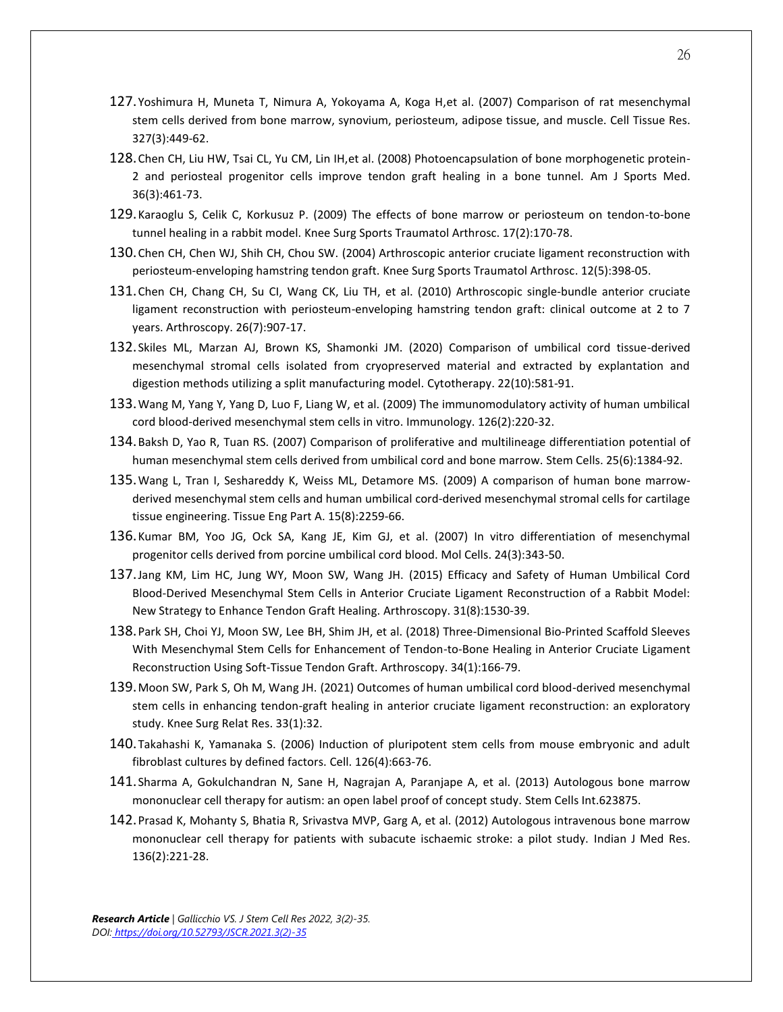- 127.Yoshimura H, Muneta T, Nimura A, Yokoyama A, Koga H,et al. (2007) Comparison of rat mesenchymal stem cells derived from bone marrow, synovium, periosteum, adipose tissue, and muscle. Cell Tissue Res. 327(3):449-62.
- 128.Chen CH, Liu HW, Tsai CL, Yu CM, Lin IH,et al. (2008) Photoencapsulation of bone morphogenetic protein-2 and periosteal progenitor cells improve tendon graft healing in a bone tunnel. Am J Sports Med. 36(3):461-73.
- 129.Karaoglu S, Celik C, Korkusuz P. (2009) The effects of bone marrow or periosteum on tendon-to-bone tunnel healing in a rabbit model. Knee Surg Sports Traumatol Arthrosc. 17(2):170-78.
- 130.Chen CH, Chen WJ, Shih CH, Chou SW. (2004) Arthroscopic anterior cruciate ligament reconstruction with periosteum-enveloping hamstring tendon graft. Knee Surg Sports Traumatol Arthrosc. 12(5):398-05.
- 131.Chen CH, Chang CH, Su CI, Wang CK, Liu TH, et al. (2010) Arthroscopic single-bundle anterior cruciate ligament reconstruction with periosteum-enveloping hamstring tendon graft: clinical outcome at 2 to 7 years. Arthroscopy. 26(7):907-17.
- 132.Skiles ML, Marzan AJ, Brown KS, Shamonki JM. (2020) Comparison of umbilical cord tissue-derived mesenchymal stromal cells isolated from cryopreserved material and extracted by explantation and digestion methods utilizing a split manufacturing model. Cytotherapy. 22(10):581-91.
- 133.Wang M, Yang Y, Yang D, Luo F, Liang W, et al. (2009) The immunomodulatory activity of human umbilical cord blood-derived mesenchymal stem cells in vitro. Immunology. 126(2):220-32.
- 134.Baksh D, Yao R, Tuan RS. (2007) Comparison of proliferative and multilineage differentiation potential of human mesenchymal stem cells derived from umbilical cord and bone marrow. Stem Cells. 25(6):1384-92.
- 135.Wang L, Tran I, Seshareddy K, Weiss ML, Detamore MS. (2009) A comparison of human bone marrowderived mesenchymal stem cells and human umbilical cord-derived mesenchymal stromal cells for cartilage tissue engineering. Tissue Eng Part A. 15(8):2259-66.
- 136.Kumar BM, Yoo JG, Ock SA, Kang JE, Kim GJ, et al. (2007) In vitro differentiation of mesenchymal progenitor cells derived from porcine umbilical cord blood. Mol Cells. 24(3):343-50.
- 137.Jang KM, Lim HC, Jung WY, Moon SW, Wang JH. (2015) Efficacy and Safety of Human Umbilical Cord Blood-Derived Mesenchymal Stem Cells in Anterior Cruciate Ligament Reconstruction of a Rabbit Model: New Strategy to Enhance Tendon Graft Healing. Arthroscopy. 31(8):1530-39.
- 138.Park SH, Choi YJ, Moon SW, Lee BH, Shim JH, et al. (2018) Three-Dimensional Bio-Printed Scaffold Sleeves With Mesenchymal Stem Cells for Enhancement of Tendon-to-Bone Healing in Anterior Cruciate Ligament Reconstruction Using Soft-Tissue Tendon Graft. Arthroscopy. 34(1):166-79.
- 139.Moon SW, Park S, Oh M, Wang JH. (2021) Outcomes of human umbilical cord blood-derived mesenchymal stem cells in enhancing tendon-graft healing in anterior cruciate ligament reconstruction: an exploratory study. Knee Surg Relat Res. 33(1):32.
- 140.Takahashi K, Yamanaka S. (2006) Induction of pluripotent stem cells from mouse embryonic and adult fibroblast cultures by defined factors. Cell. 126(4):663-76.
- 141.Sharma A, Gokulchandran N, Sane H, Nagrajan A, Paranjape A, et al. (2013) Autologous bone marrow mononuclear cell therapy for autism: an open label proof of concept study. Stem Cells Int.623875.
- 142.Prasad K, Mohanty S, Bhatia R, Srivastva MVP, Garg A, et al. (2012) Autologous intravenous bone marrow mononuclear cell therapy for patients with subacute ischaemic stroke: a pilot study. Indian J Med Res. 136(2):221-28.